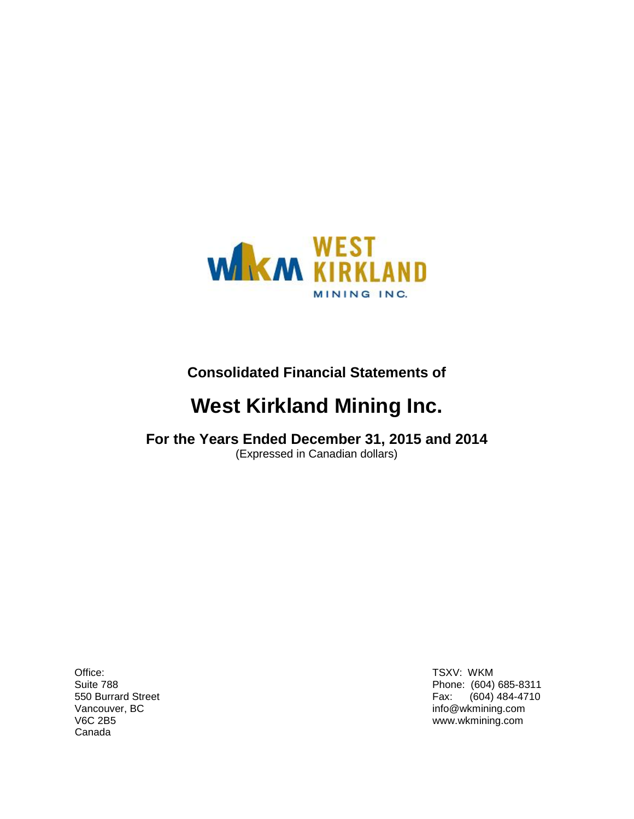

**Consolidated Financial Statements of**

# **West Kirkland Mining Inc.**

## **For the Years Ended December 31, 2015 and 2014** (Expressed in Canadian dollars)

Office: TSXV: WKM<br>
Suite 788 Phone: (604) Canada

Phone: (604) 685-8311 550 Burrard Street Fax: (604) 484-4710<br>Vancouver, BC Fax: (604) 484-4710  $info@w$ kmining.com V6C 2B5 www.wkmining.com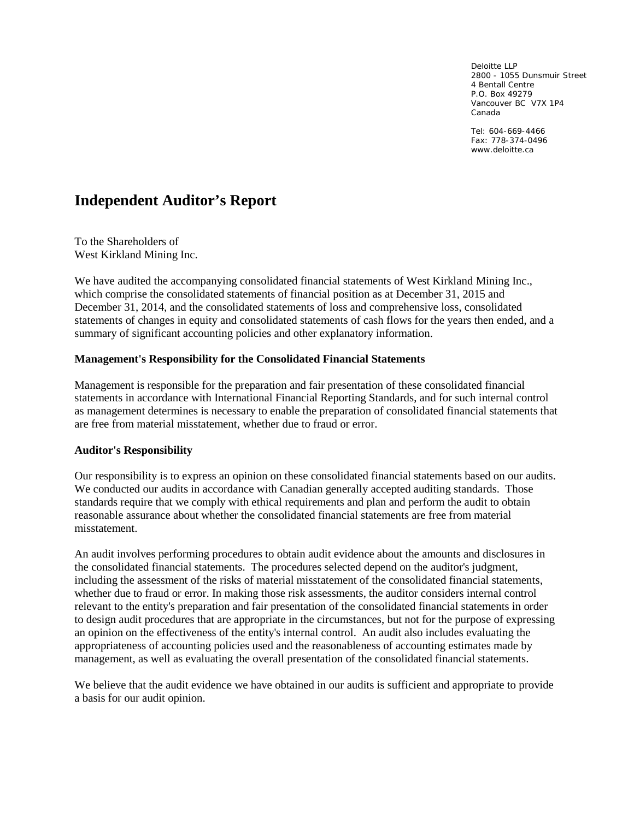Deloitte LLP 2800 - 1055 Dunsmuir Street 4 Bentall Centre P.O. Box 49279 Vancouver BC V7X 1P4 Canada

Tel: 604-669-4466 Fax: 778-374-0496 www.deloitte.ca

## **Independent Auditor's Report**

To the Shareholders of West Kirkland Mining Inc.

We have audited the accompanying consolidated financial statements of West Kirkland Mining Inc., which comprise the consolidated statements of financial position as at December 31, 2015 and December 31, 2014, and the consolidated statements of loss and comprehensive loss, consolidated statements of changes in equity and consolidated statements of cash flows for the years then ended, and a summary of significant accounting policies and other explanatory information.

### **Management's Responsibility for the Consolidated Financial Statements**

Management is responsible for the preparation and fair presentation of these consolidated financial statements in accordance with International Financial Reporting Standards, and for such internal control as management determines is necessary to enable the preparation of consolidated financial statements that are free from material misstatement, whether due to fraud or error.

### **Auditor's Responsibility**

Our responsibility is to express an opinion on these consolidated financial statements based on our audits. We conducted our audits in accordance with Canadian generally accepted auditing standards. Those standards require that we comply with ethical requirements and plan and perform the audit to obtain reasonable assurance about whether the consolidated financial statements are free from material misstatement.

An audit involves performing procedures to obtain audit evidence about the amounts and disclosures in the consolidated financial statements. The procedures selected depend on the auditor's judgment, including the assessment of the risks of material misstatement of the consolidated financial statements, whether due to fraud or error. In making those risk assessments, the auditor considers internal control relevant to the entity's preparation and fair presentation of the consolidated financial statements in order to design audit procedures that are appropriate in the circumstances, but not for the purpose of expressing an opinion on the effectiveness of the entity's internal control. An audit also includes evaluating the appropriateness of accounting policies used and the reasonableness of accounting estimates made by management, as well as evaluating the overall presentation of the consolidated financial statements.

We believe that the audit evidence we have obtained in our audits is sufficient and appropriate to provide a basis for our audit opinion.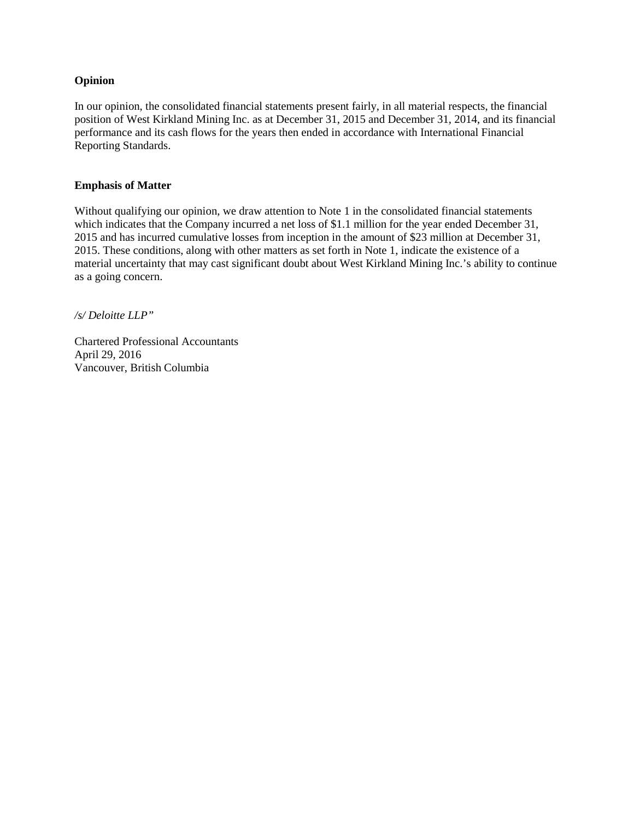### **Opinion**

In our opinion, the consolidated financial statements present fairly, in all material respects, the financial position of West Kirkland Mining Inc. as at December 31, 2015 and December 31, 2014, and its financial performance and its cash flows for the years then ended in accordance with International Financial Reporting Standards.

### **Emphasis of Matter**

Without qualifying our opinion, we draw attention to Note 1 in the consolidated financial statements which indicates that the Company incurred a net loss of \$1.1 million for the year ended December 31, 2015 and has incurred cumulative losses from inception in the amount of \$23 million at December 31, 2015. These conditions, along with other matters as set forth in Note 1, indicate the existence of a material uncertainty that may cast significant doubt about West Kirkland Mining Inc.'s ability to continue as a going concern.

*/s/ Deloitte LLP"*

Chartered Professional Accountants April 29, 2016 Vancouver, British Columbia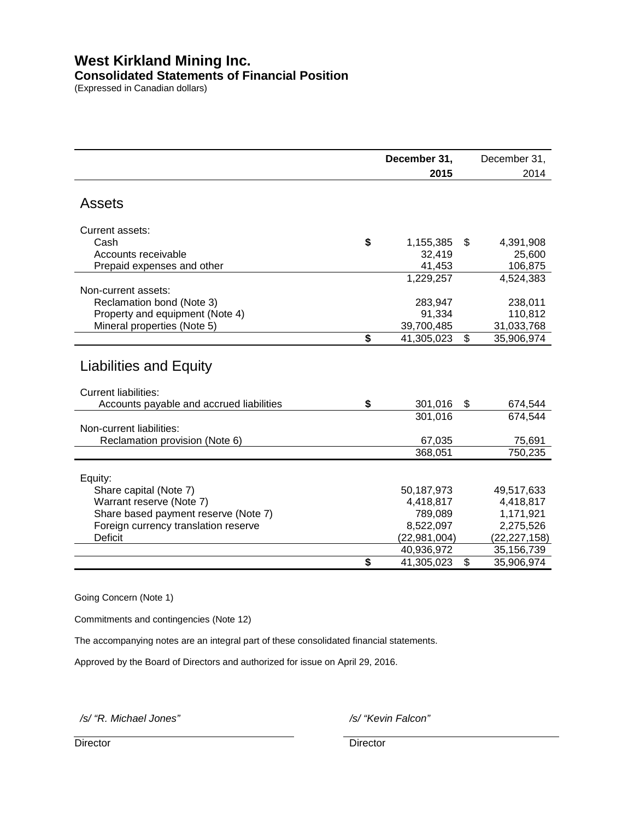## **West Kirkland Mining Inc. Consolidated Statements of Financial Position**

(Expressed in Canadian dollars)

|                                                              | December 31, | December 31,     |
|--------------------------------------------------------------|--------------|------------------|
|                                                              | 2015         | 2014             |
|                                                              |              |                  |
| <b>Assets</b>                                                |              |                  |
| Current assets:                                              |              |                  |
| Cash<br>\$                                                   | 1,155,385    | \$<br>4,391,908  |
| Accounts receivable                                          | 32,419       | 25,600           |
| Prepaid expenses and other                                   | 41,453       | 106,875          |
|                                                              | 1,229,257    | 4,524,383        |
| Non-current assets:                                          |              |                  |
| Reclamation bond (Note 3)                                    | 283,947      | 238,011          |
| Property and equipment (Note 4)                              | 91,334       | 110,812          |
| Mineral properties (Note 5)                                  | 39,700,485   | 31,033,768       |
| \$                                                           |              |                  |
|                                                              | 41,305,023   | \$<br>35,906,974 |
| <b>Liabilities and Equity</b><br><b>Current liabilities:</b> |              |                  |
| \$<br>Accounts payable and accrued liabilities               | 301,016      | \$<br>674,544    |
|                                                              | 301,016      | 674,544          |
| Non-current liabilities:                                     |              |                  |
| Reclamation provision (Note 6)                               | 67,035       | 75,691           |
|                                                              | 368,051      | 750,235          |
|                                                              |              |                  |
| Equity:                                                      |              |                  |
| Share capital (Note 7)                                       | 50,187,973   | 49,517,633       |
| Warrant reserve (Note 7)                                     | 4,418,817    | 4,418,817        |
| Share based payment reserve (Note 7)                         | 789,089      | 1,171,921        |
| Foreign currency translation reserve                         | 8,522,097    | 2,275,526        |
| <b>Deficit</b>                                               | (22,981,004) | (22, 227, 158)   |
|                                                              | 40,936,972   | 35,156,739       |
| \$                                                           | 41,305,023   | \$               |
|                                                              |              | 35,906,974       |

Going Concern (Note 1)

Commitments and contingencies (Note 12)

The accompanying notes are an integral part of these consolidated financial statements.

Approved by the Board of Directors and authorized for issue on April 29, 2016.

*/s/ "R. Michael Jones" /s/ "Kevin Falcon"*

Director **Director** Director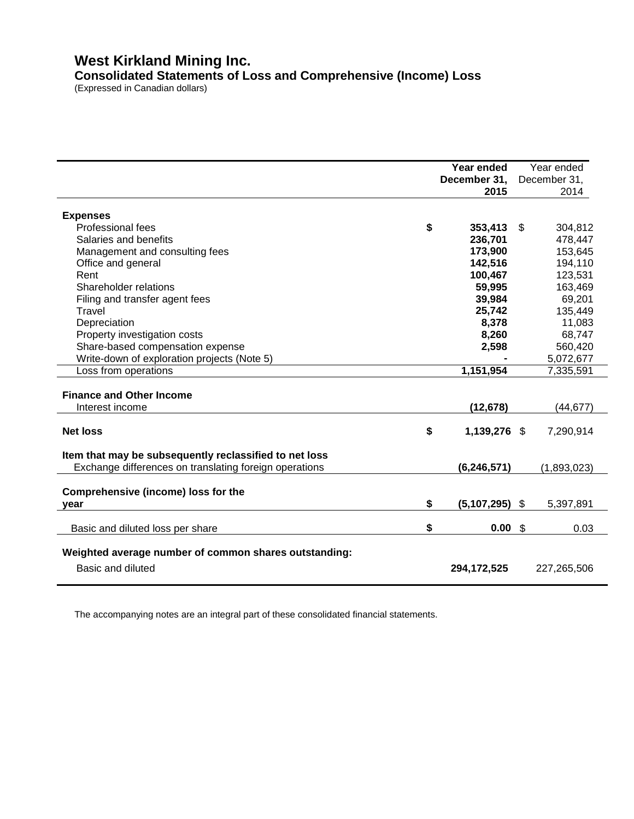## **West Kirkland Mining Inc. Consolidated Statements of Loss and Comprehensive (Income) Loss**

(Expressed in Canadian dollars)

|                                                        | Year ended             |               | Year ended   |
|--------------------------------------------------------|------------------------|---------------|--------------|
|                                                        | December 31,           |               | December 31, |
|                                                        | 2015                   |               | 2014         |
|                                                        |                        |               |              |
| <b>Expenses</b>                                        |                        |               |              |
| Professional fees                                      | \$<br>353,413          | \$            | 304,812      |
| Salaries and benefits                                  | 236,701                |               | 478,447      |
| Management and consulting fees                         | 173,900                |               | 153,645      |
| Office and general                                     | 142,516                |               | 194,110      |
| Rent                                                   | 100,467                |               | 123,531      |
| Shareholder relations                                  | 59,995                 |               | 163,469      |
| Filing and transfer agent fees                         | 39,984                 |               | 69,201       |
| Travel                                                 | 25,742                 |               | 135,449      |
| Depreciation                                           | 8,378                  |               | 11,083       |
| Property investigation costs                           | 8,260                  |               | 68,747       |
| Share-based compensation expense                       | 2,598                  |               | 560,420      |
| Write-down of exploration projects (Note 5)            |                        |               | 5,072,677    |
| Loss from operations                                   | 1,151,954              |               | 7,335,591    |
|                                                        |                        |               |              |
| <b>Finance and Other Income</b>                        |                        |               |              |
| Interest income                                        | (12, 678)              |               | (44, 677)    |
|                                                        |                        |               |              |
| <b>Net loss</b>                                        | \$<br>1,139,276 \$     |               | 7,290,914    |
|                                                        |                        |               |              |
| Item that may be subsequently reclassified to net loss |                        |               |              |
| Exchange differences on translating foreign operations | (6, 246, 571)          |               | (1,893,023)  |
|                                                        |                        |               |              |
| Comprehensive (income) loss for the                    |                        |               |              |
| year                                                   | \$<br>$(5,107,295)$ \$ |               | 5,397,891    |
|                                                        |                        |               |              |
| Basic and diluted loss per share                       | \$<br>0.00             | $\sqrt[6]{3}$ | 0.03         |
|                                                        |                        |               |              |
| Weighted average number of common shares outstanding:  |                        |               |              |
| Basic and diluted                                      | 294, 172, 525          |               | 227,265,506  |
|                                                        |                        |               |              |

The accompanying notes are an integral part of these consolidated financial statements.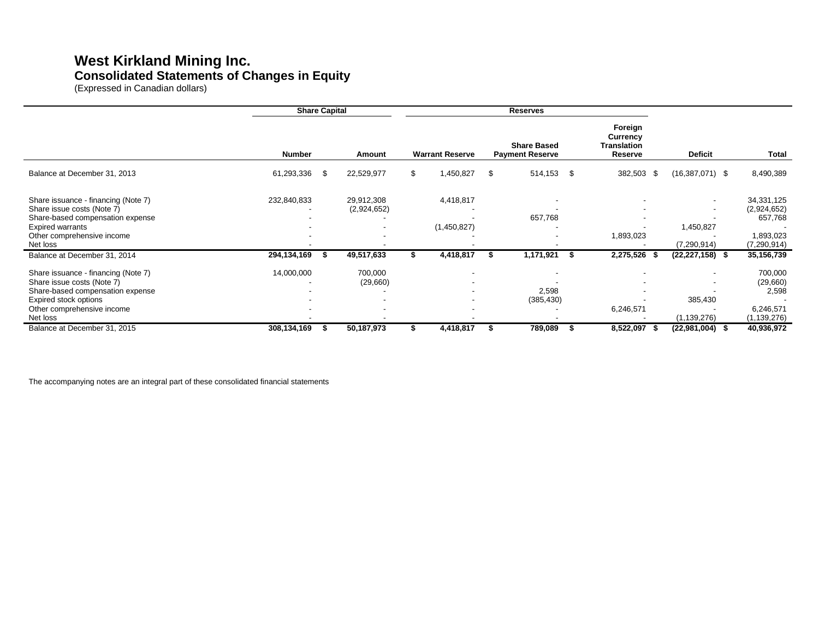## **West Kirkland Mining Inc. Consolidated Statements of Changes in Equity**

(Expressed in Canadian dollars)

|                                                                                                                                                                          | <b>Share Capital</b> |    |                           | <b>Reserves</b> |                          |    |                                              |                                                      |                            |                                                            |
|--------------------------------------------------------------------------------------------------------------------------------------------------------------------------|----------------------|----|---------------------------|-----------------|--------------------------|----|----------------------------------------------|------------------------------------------------------|----------------------------|------------------------------------------------------------|
|                                                                                                                                                                          | <b>Number</b>        |    | Amount                    |                 | <b>Warrant Reserve</b>   |    | <b>Share Based</b><br><b>Payment Reserve</b> | Foreign<br>Currency<br><b>Translation</b><br>Reserve | <b>Deficit</b>             | Total                                                      |
| Balance at December 31, 2013                                                                                                                                             | 61,293,336           | \$ | 22,529,977                | \$              | 1,450,827                | \$ | \$<br>514,153                                | 382,503 \$                                           | $(16,387,071)$ \$          | 8,490,389                                                  |
| Share issuance - financing (Note 7)<br>Share issue costs (Note 7)<br>Share-based compensation expense                                                                    | 232,840,833          |    | 29,912,308<br>(2,924,652) |                 | 4,418,817                |    | 657,768                                      |                                                      |                            | 34,331,125<br>(2,924,652)<br>657,768                       |
| <b>Expired warrants</b><br>Other comprehensive income<br>Net loss                                                                                                        |                      |    |                           |                 | (1,450,827)              |    |                                              | $\overline{\phantom{0}}$<br>1,893,023                | 1,450,827<br>(7, 290, 914) | 1,893,023<br>(7, 290, 914)                                 |
| Balance at December 31, 2014                                                                                                                                             | 294,134,169          | -S | 49,517,633                |                 | 4,418,817                |    | 1,171,921                                    | 2,275,526 \$                                         | $(22, 227, 158)$ \$        | 35,156,739                                                 |
| Share issuance - financing (Note 7)<br>Share issue costs (Note 7)<br>Share-based compensation expense<br>Expired stock options<br>Other comprehensive income<br>Net loss | 14,000,000           |    | 700,000<br>(29,660)       |                 | $\overline{\phantom{a}}$ |    | 2,598<br>(385, 430)                          | $\overline{\phantom{0}}$<br>6,246,571                | 385,430<br>(1, 139, 276)   | 700,000<br>(29,660)<br>2,598<br>6,246,571<br>(1, 139, 276) |
| Balance at December 31, 2015                                                                                                                                             | 308,134,169          | S  | 50,187,973                |                 | 4,418,817                |    | 789,089                                      | 8,522,097<br>- 56                                    | $(22,981,004)$ \$          | 40,936,972                                                 |

The accompanying notes are an integral part of these consolidated financial statements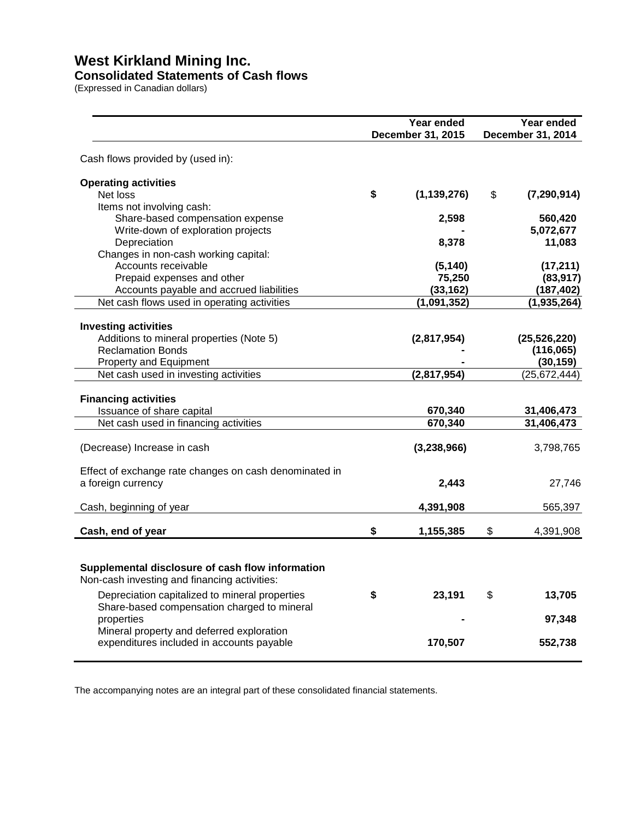### **Consolidated Statements of Cash flows**

(Expressed in Canadian dollars)

|                                                                                                  |    | Year ended<br>December 31, 2015 | Year ended<br>December 31, 2014 |
|--------------------------------------------------------------------------------------------------|----|---------------------------------|---------------------------------|
| Cash flows provided by (used in):                                                                |    |                                 |                                 |
| <b>Operating activities</b>                                                                      |    |                                 |                                 |
| Net loss                                                                                         | \$ | (1, 139, 276)                   | \$<br>(7, 290, 914)             |
| Items not involving cash:<br>Share-based compensation expense                                    |    | 2,598                           | 560,420                         |
| Write-down of exploration projects                                                               |    |                                 | 5,072,677                       |
| Depreciation                                                                                     |    | 8,378                           | 11,083                          |
| Changes in non-cash working capital:                                                             |    |                                 |                                 |
| Accounts receivable                                                                              |    | (5, 140)                        | (17, 211)                       |
| Prepaid expenses and other                                                                       |    | 75,250                          | (83, 917)                       |
| Accounts payable and accrued liabilities                                                         |    | (33, 162)                       | (187, 402)                      |
| Net cash flows used in operating activities                                                      |    | (1,091,352)                     | (1,935,264)                     |
|                                                                                                  |    |                                 |                                 |
| <b>Investing activities</b>                                                                      |    |                                 |                                 |
| Additions to mineral properties (Note 5)<br><b>Reclamation Bonds</b>                             |    | (2,817,954)                     | (25, 526, 220)                  |
| Property and Equipment                                                                           |    |                                 | (116,065)<br>(30, 159)          |
| Net cash used in investing activities                                                            |    | (2,817,954)                     | (25, 672, 444)                  |
|                                                                                                  |    |                                 |                                 |
| <b>Financing activities</b>                                                                      |    |                                 |                                 |
| Issuance of share capital                                                                        |    | 670,340                         | 31,406,473                      |
| Net cash used in financing activities                                                            |    | 670,340                         | 31,406,473                      |
| (Decrease) Increase in cash                                                                      |    | (3,238,966)                     | 3,798,765                       |
|                                                                                                  |    |                                 |                                 |
| Effect of exchange rate changes on cash denominated in<br>a foreign currency                     |    | 2,443                           | 27,746                          |
|                                                                                                  |    | 4,391,908                       |                                 |
| Cash, beginning of year                                                                          |    |                                 | 565,397                         |
| Cash, end of year                                                                                | \$ | 1,155,385                       | \$<br>4,391,908                 |
|                                                                                                  |    |                                 |                                 |
| Supplemental disclosure of cash flow information<br>Non-cash investing and financing activities: |    |                                 |                                 |
| Depreciation capitalized to mineral properties                                                   | S  | 23,191                          | \$<br>13,705                    |
| Share-based compensation charged to mineral                                                      |    |                                 |                                 |
| properties                                                                                       |    |                                 | 97,348                          |
| Mineral property and deferred exploration                                                        |    |                                 |                                 |
| expenditures included in accounts payable                                                        |    | 170,507                         | 552,738                         |

The accompanying notes are an integral part of these consolidated financial statements.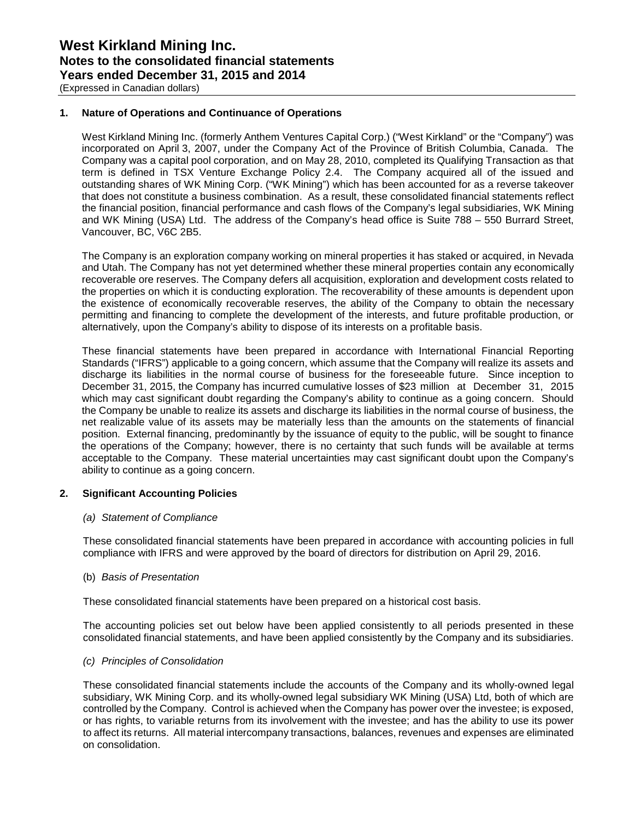### **1. Nature of Operations and Continuance of Operations**

West Kirkland Mining Inc. (formerly Anthem Ventures Capital Corp.) ("West Kirkland" or the "Company") was incorporated on April 3, 2007, under the Company Act of the Province of British Columbia, Canada. The Company was a capital pool corporation, and on May 28, 2010, completed its Qualifying Transaction as that term is defined in TSX Venture Exchange Policy 2.4. The Company acquired all of the issued and outstanding shares of WK Mining Corp. ("WK Mining") which has been accounted for as a reverse takeover that does not constitute a business combination. As a result, these consolidated financial statements reflect the financial position, financial performance and cash flows of the Company's legal subsidiaries, WK Mining and WK Mining (USA) Ltd. The address of the Company's head office is Suite 788 – 550 Burrard Street, Vancouver, BC, V6C 2B5.

The Company is an exploration company working on mineral properties it has staked or acquired, in Nevada and Utah. The Company has not yet determined whether these mineral properties contain any economically recoverable ore reserves. The Company defers all acquisition, exploration and development costs related to the properties on which it is conducting exploration. The recoverability of these amounts is dependent upon the existence of economically recoverable reserves, the ability of the Company to obtain the necessary permitting and financing to complete the development of the interests, and future profitable production, or alternatively, upon the Company's ability to dispose of its interests on a profitable basis.

These financial statements have been prepared in accordance with International Financial Reporting Standards ("IFRS") applicable to a going concern, which assume that the Company will realize its assets and discharge its liabilities in the normal course of business for the foreseeable future. Since inception to December 31, 2015, the Company has incurred cumulative losses of \$23 million at December 31, 2015 which may cast significant doubt regarding the Company's ability to continue as a going concern. Should the Company be unable to realize its assets and discharge its liabilities in the normal course of business, the net realizable value of its assets may be materially less than the amounts on the statements of financial position. External financing, predominantly by the issuance of equity to the public, will be sought to finance the operations of the Company; however, there is no certainty that such funds will be available at terms acceptable to the Company. These material uncertainties may cast significant doubt upon the Company's ability to continue as a going concern.

### **2. Significant Accounting Policies**

### *(a) Statement of Compliance*

These consolidated financial statements have been prepared in accordance with accounting policies in full compliance with IFRS and were approved by the board of directors for distribution on April 29, 2016.

### (b) *Basis of Presentation*

These consolidated financial statements have been prepared on a historical cost basis.

The accounting policies set out below have been applied consistently to all periods presented in these consolidated financial statements, and have been applied consistently by the Company and its subsidiaries.

### *(c) Principles of Consolidation*

These consolidated financial statements include the accounts of the Company and its wholly-owned legal subsidiary, WK Mining Corp. and its wholly-owned legal subsidiary WK Mining (USA) Ltd, both of which are controlled by the Company. Control is achieved when the Company has power over the investee; is exposed, or has rights, to variable returns from its involvement with the investee; and has the ability to use its power to affect its returns. All material intercompany transactions, balances, revenues and expenses are eliminated on consolidation.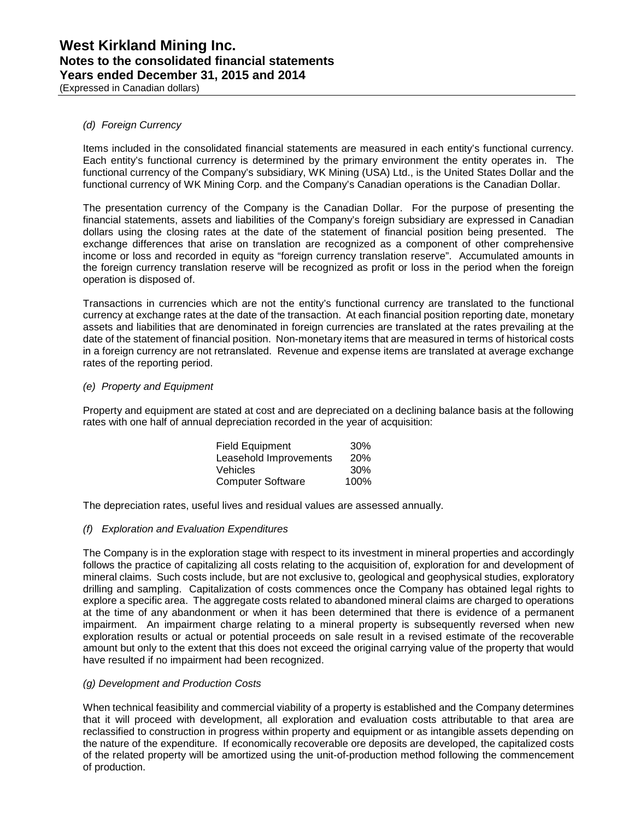(Expressed in Canadian dollars)

### *(d) Foreign Currency*

Items included in the consolidated financial statements are measured in each entity's functional currency. Each entity's functional currency is determined by the primary environment the entity operates in. The functional currency of the Company's subsidiary, WK Mining (USA) Ltd., is the United States Dollar and the functional currency of WK Mining Corp. and the Company's Canadian operations is the Canadian Dollar.

The presentation currency of the Company is the Canadian Dollar. For the purpose of presenting the financial statements, assets and liabilities of the Company's foreign subsidiary are expressed in Canadian dollars using the closing rates at the date of the statement of financial position being presented. The exchange differences that arise on translation are recognized as a component of other comprehensive income or loss and recorded in equity as "foreign currency translation reserve". Accumulated amounts in the foreign currency translation reserve will be recognized as profit or loss in the period when the foreign operation is disposed of.

Transactions in currencies which are not the entity's functional currency are translated to the functional currency at exchange rates at the date of the transaction. At each financial position reporting date, monetary assets and liabilities that are denominated in foreign currencies are translated at the rates prevailing at the date of the statement of financial position. Non-monetary items that are measured in terms of historical costs in a foreign currency are not retranslated. Revenue and expense items are translated at average exchange rates of the reporting period.

### *(e) Property and Equipment*

Property and equipment are stated at cost and are depreciated on a declining balance basis at the following rates with one half of annual depreciation recorded in the year of acquisition:

| <b>Field Equipment</b>   | 30%        |
|--------------------------|------------|
| Leasehold Improvements   | <b>20%</b> |
| Vehicles                 | 30%        |
| <b>Computer Software</b> | 100%       |

The depreciation rates, useful lives and residual values are assessed annually.

### *(f) Exploration and Evaluation Expenditures*

The Company is in the exploration stage with respect to its investment in mineral properties and accordingly follows the practice of capitalizing all costs relating to the acquisition of, exploration for and development of mineral claims. Such costs include, but are not exclusive to, geological and geophysical studies, exploratory drilling and sampling. Capitalization of costs commences once the Company has obtained legal rights to explore a specific area. The aggregate costs related to abandoned mineral claims are charged to operations at the time of any abandonment or when it has been determined that there is evidence of a permanent impairment. An impairment charge relating to a mineral property is subsequently reversed when new exploration results or actual or potential proceeds on sale result in a revised estimate of the recoverable amount but only to the extent that this does not exceed the original carrying value of the property that would have resulted if no impairment had been recognized.

### *(g) Development and Production Costs*

When technical feasibility and commercial viability of a property is established and the Company determines that it will proceed with development, all exploration and evaluation costs attributable to that area are reclassified to construction in progress within property and equipment or as intangible assets depending on the nature of the expenditure. If economically recoverable ore deposits are developed, the capitalized costs of the related property will be amortized using the unit-of-production method following the commencement of production.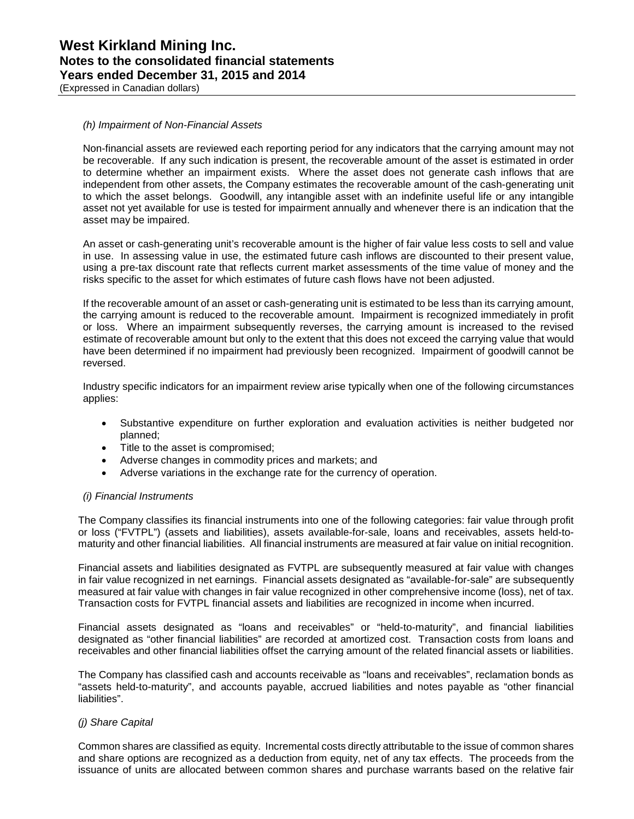(Expressed in Canadian dollars)

### *(h) Impairment of Non-Financial Assets*

Non-financial assets are reviewed each reporting period for any indicators that the carrying amount may not be recoverable. If any such indication is present, the recoverable amount of the asset is estimated in order to determine whether an impairment exists. Where the asset does not generate cash inflows that are independent from other assets, the Company estimates the recoverable amount of the cash-generating unit to which the asset belongs. Goodwill, any intangible asset with an indefinite useful life or any intangible asset not yet available for use is tested for impairment annually and whenever there is an indication that the asset may be impaired.

An asset or cash-generating unit's recoverable amount is the higher of fair value less costs to sell and value in use. In assessing value in use, the estimated future cash inflows are discounted to their present value, using a pre-tax discount rate that reflects current market assessments of the time value of money and the risks specific to the asset for which estimates of future cash flows have not been adjusted.

If the recoverable amount of an asset or cash-generating unit is estimated to be less than its carrying amount, the carrying amount is reduced to the recoverable amount. Impairment is recognized immediately in profit or loss. Where an impairment subsequently reverses, the carrying amount is increased to the revised estimate of recoverable amount but only to the extent that this does not exceed the carrying value that would have been determined if no impairment had previously been recognized. Impairment of goodwill cannot be reversed.

Industry specific indicators for an impairment review arise typically when one of the following circumstances applies:

- Substantive expenditure on further exploration and evaluation activities is neither budgeted nor planned;
- Title to the asset is compromised;
- Adverse changes in commodity prices and markets; and
- Adverse variations in the exchange rate for the currency of operation.

#### *(i) Financial Instruments*

The Company classifies its financial instruments into one of the following categories: fair value through profit or loss ("FVTPL") (assets and liabilities), assets available-for-sale, loans and receivables, assets held-tomaturity and other financial liabilities. All financial instruments are measured at fair value on initial recognition.

Financial assets and liabilities designated as FVTPL are subsequently measured at fair value with changes in fair value recognized in net earnings. Financial assets designated as "available-for-sale" are subsequently measured at fair value with changes in fair value recognized in other comprehensive income (loss), net of tax. Transaction costs for FVTPL financial assets and liabilities are recognized in income when incurred.

Financial assets designated as "loans and receivables" or "held-to-maturity", and financial liabilities designated as "other financial liabilities" are recorded at amortized cost. Transaction costs from loans and receivables and other financial liabilities offset the carrying amount of the related financial assets or liabilities.

The Company has classified cash and accounts receivable as "loans and receivables", reclamation bonds as "assets held-to-maturity", and accounts payable, accrued liabilities and notes payable as "other financial liabilities".

### *(j) Share Capital*

Common shares are classified as equity. Incremental costs directly attributable to the issue of common shares and share options are recognized as a deduction from equity, net of any tax effects. The proceeds from the issuance of units are allocated between common shares and purchase warrants based on the relative fair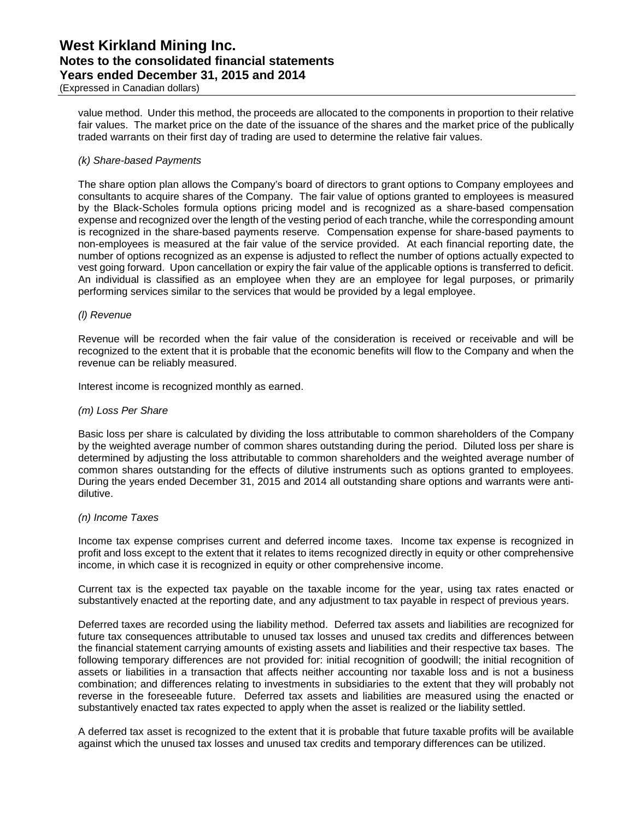(Expressed in Canadian dollars)

value method. Under this method, the proceeds are allocated to the components in proportion to their relative fair values. The market price on the date of the issuance of the shares and the market price of the publically traded warrants on their first day of trading are used to determine the relative fair values.

### *(k) Share-based Payments*

The share option plan allows the Company's board of directors to grant options to Company employees and consultants to acquire shares of the Company. The fair value of options granted to employees is measured by the Black-Scholes formula options pricing model and is recognized as a share-based compensation expense and recognized over the length of the vesting period of each tranche, while the corresponding amount is recognized in the share-based payments reserve. Compensation expense for share-based payments to non-employees is measured at the fair value of the service provided. At each financial reporting date, the number of options recognized as an expense is adjusted to reflect the number of options actually expected to vest going forward. Upon cancellation or expiry the fair value of the applicable options is transferred to deficit. An individual is classified as an employee when they are an employee for legal purposes, or primarily performing services similar to the services that would be provided by a legal employee.

### *(l) Revenue*

Revenue will be recorded when the fair value of the consideration is received or receivable and will be recognized to the extent that it is probable that the economic benefits will flow to the Company and when the revenue can be reliably measured.

Interest income is recognized monthly as earned.

### *(m) Loss Per Share*

Basic loss per share is calculated by dividing the loss attributable to common shareholders of the Company by the weighted average number of common shares outstanding during the period. Diluted loss per share is determined by adjusting the loss attributable to common shareholders and the weighted average number of common shares outstanding for the effects of dilutive instruments such as options granted to employees. During the years ended December 31, 2015 and 2014 all outstanding share options and warrants were antidilutive.

### *(n) Income Taxes*

Income tax expense comprises current and deferred income taxes. Income tax expense is recognized in profit and loss except to the extent that it relates to items recognized directly in equity or other comprehensive income, in which case it is recognized in equity or other comprehensive income.

Current tax is the expected tax payable on the taxable income for the year, using tax rates enacted or substantively enacted at the reporting date, and any adjustment to tax payable in respect of previous years.

Deferred taxes are recorded using the liability method. Deferred tax assets and liabilities are recognized for future tax consequences attributable to unused tax losses and unused tax credits and differences between the financial statement carrying amounts of existing assets and liabilities and their respective tax bases. The following temporary differences are not provided for: initial recognition of goodwill; the initial recognition of assets or liabilities in a transaction that affects neither accounting nor taxable loss and is not a business combination; and differences relating to investments in subsidiaries to the extent that they will probably not reverse in the foreseeable future. Deferred tax assets and liabilities are measured using the enacted or substantively enacted tax rates expected to apply when the asset is realized or the liability settled.

A deferred tax asset is recognized to the extent that it is probable that future taxable profits will be available against which the unused tax losses and unused tax credits and temporary differences can be utilized.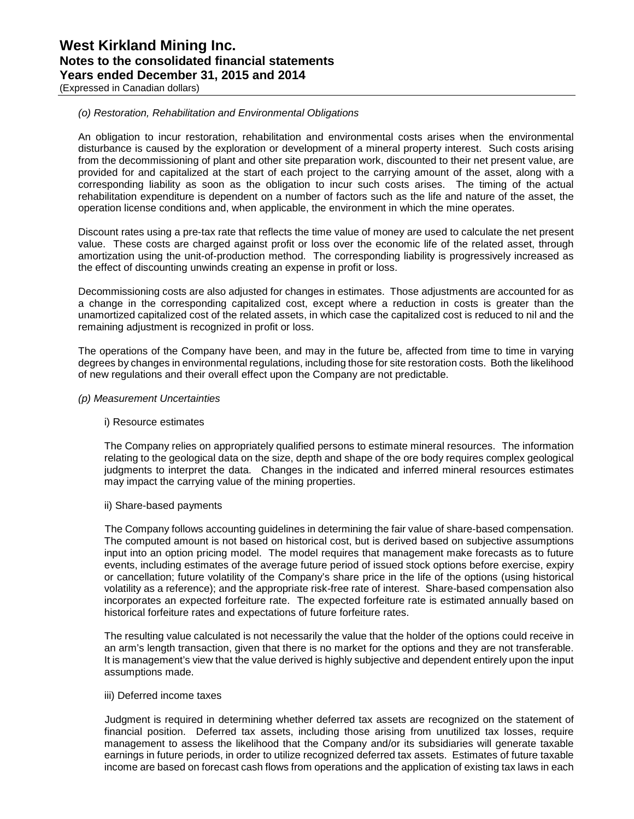(Expressed in Canadian dollars)

### *(o) Restoration, Rehabilitation and Environmental Obligations*

An obligation to incur restoration, rehabilitation and environmental costs arises when the environmental disturbance is caused by the exploration or development of a mineral property interest. Such costs arising from the decommissioning of plant and other site preparation work, discounted to their net present value, are provided for and capitalized at the start of each project to the carrying amount of the asset, along with a corresponding liability as soon as the obligation to incur such costs arises. The timing of the actual rehabilitation expenditure is dependent on a number of factors such as the life and nature of the asset, the operation license conditions and, when applicable, the environment in which the mine operates.

Discount rates using a pre-tax rate that reflects the time value of money are used to calculate the net present value. These costs are charged against profit or loss over the economic life of the related asset, through amortization using the unit-of-production method. The corresponding liability is progressively increased as the effect of discounting unwinds creating an expense in profit or loss.

Decommissioning costs are also adjusted for changes in estimates. Those adjustments are accounted for as a change in the corresponding capitalized cost, except where a reduction in costs is greater than the unamortized capitalized cost of the related assets, in which case the capitalized cost is reduced to nil and the remaining adjustment is recognized in profit or loss.

The operations of the Company have been, and may in the future be, affected from time to time in varying degrees by changes in environmental regulations, including those for site restoration costs. Both the likelihood of new regulations and their overall effect upon the Company are not predictable.

### *(p) Measurement Uncertainties*

### i) Resource estimates

The Company relies on appropriately qualified persons to estimate mineral resources. The information relating to the geological data on the size, depth and shape of the ore body requires complex geological judgments to interpret the data. Changes in the indicated and inferred mineral resources estimates may impact the carrying value of the mining properties.

### ii) Share-based payments

The Company follows accounting guidelines in determining the fair value of share-based compensation. The computed amount is not based on historical cost, but is derived based on subjective assumptions input into an option pricing model. The model requires that management make forecasts as to future events, including estimates of the average future period of issued stock options before exercise, expiry or cancellation; future volatility of the Company's share price in the life of the options (using historical volatility as a reference); and the appropriate risk-free rate of interest. Share-based compensation also incorporates an expected forfeiture rate. The expected forfeiture rate is estimated annually based on historical forfeiture rates and expectations of future forfeiture rates.

The resulting value calculated is not necessarily the value that the holder of the options could receive in an arm's length transaction, given that there is no market for the options and they are not transferable. It is management's view that the value derived is highly subjective and dependent entirely upon the input assumptions made.

#### iii) Deferred income taxes

Judgment is required in determining whether deferred tax assets are recognized on the statement of financial position. Deferred tax assets, including those arising from unutilized tax losses, require management to assess the likelihood that the Company and/or its subsidiaries will generate taxable earnings in future periods, in order to utilize recognized deferred tax assets. Estimates of future taxable income are based on forecast cash flows from operations and the application of existing tax laws in each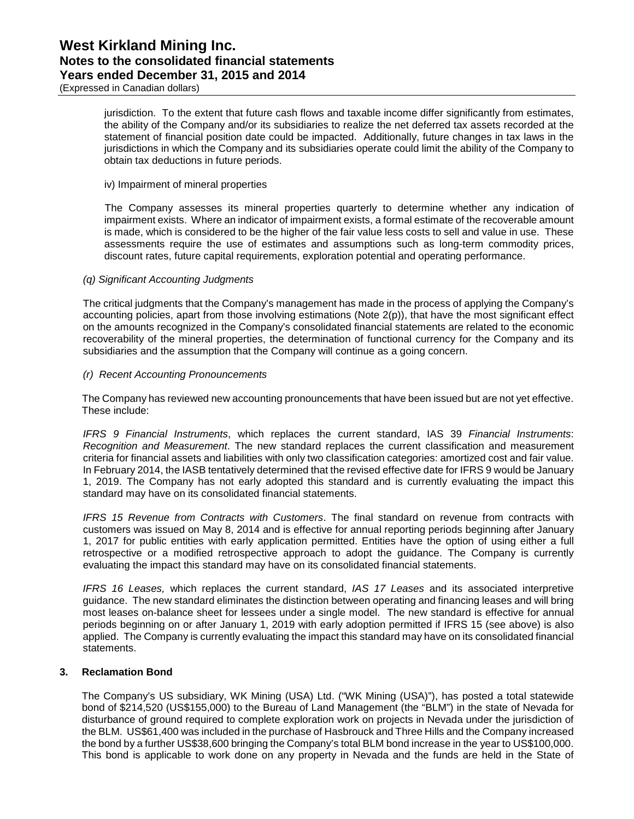jurisdiction. To the extent that future cash flows and taxable income differ significantly from estimates, the ability of the Company and/or its subsidiaries to realize the net deferred tax assets recorded at the statement of financial position date could be impacted. Additionally, future changes in tax laws in the jurisdictions in which the Company and its subsidiaries operate could limit the ability of the Company to obtain tax deductions in future periods.

#### iv) Impairment of mineral properties

The Company assesses its mineral properties quarterly to determine whether any indication of impairment exists. Where an indicator of impairment exists, a formal estimate of the recoverable amount is made, which is considered to be the higher of the fair value less costs to sell and value in use. These assessments require the use of estimates and assumptions such as long-term commodity prices, discount rates, future capital requirements, exploration potential and operating performance.

#### *(q) Significant Accounting Judgments*

The critical judgments that the Company's management has made in the process of applying the Company's accounting policies, apart from those involving estimations (Note 2(p)), that have the most significant effect on the amounts recognized in the Company's consolidated financial statements are related to the economic recoverability of the mineral properties, the determination of functional currency for the Company and its subsidiaries and the assumption that the Company will continue as a going concern.

#### *(r) Recent Accounting Pronouncements*

The Company has reviewed new accounting pronouncements that have been issued but are not yet effective. These include:

*IFRS 9 Financial Instruments*, which replaces the current standard, IAS 39 *Financial Instruments*: *Recognition and Measurement*. The new standard replaces the current classification and measurement criteria for financial assets and liabilities with only two classification categories: amortized cost and fair value. In February 2014, the IASB tentatively determined that the revised effective date for IFRS 9 would be January 1, 2019. The Company has not early adopted this standard and is currently evaluating the impact this standard may have on its consolidated financial statements.

*IFRS 15 Revenue from Contracts with Customers*. The final standard on revenue from contracts with customers was issued on May 8, 2014 and is effective for annual reporting periods beginning after January 1, 2017 for public entities with early application permitted. Entities have the option of using either a full retrospective or a modified retrospective approach to adopt the guidance. The Company is currently evaluating the impact this standard may have on its consolidated financial statements.

*IFRS 16 Leases,* which replaces the current standard, *IAS 17 Leases* and its associated interpretive guidance. The new standard eliminates the distinction between operating and financing leases and will bring most leases on-balance sheet for lessees under a single model. The new standard is effective for annual periods beginning on or after January 1, 2019 with early adoption permitted if IFRS 15 (see above) is also applied. The Company is currently evaluating the impact this standard may have on its consolidated financial statements.

### **3. Reclamation Bond**

The Company's US subsidiary, WK Mining (USA) Ltd. ("WK Mining (USA)"), has posted a total statewide bond of \$214,520 (US\$155,000) to the Bureau of Land Management (the "BLM") in the state of Nevada for disturbance of ground required to complete exploration work on projects in Nevada under the jurisdiction of the BLM. US\$61,400 was included in the purchase of Hasbrouck and Three Hills and the Company increased the bond by a further US\$38,600 bringing the Company's total BLM bond increase in the year to US\$100,000. This bond is applicable to work done on any property in Nevada and the funds are held in the State of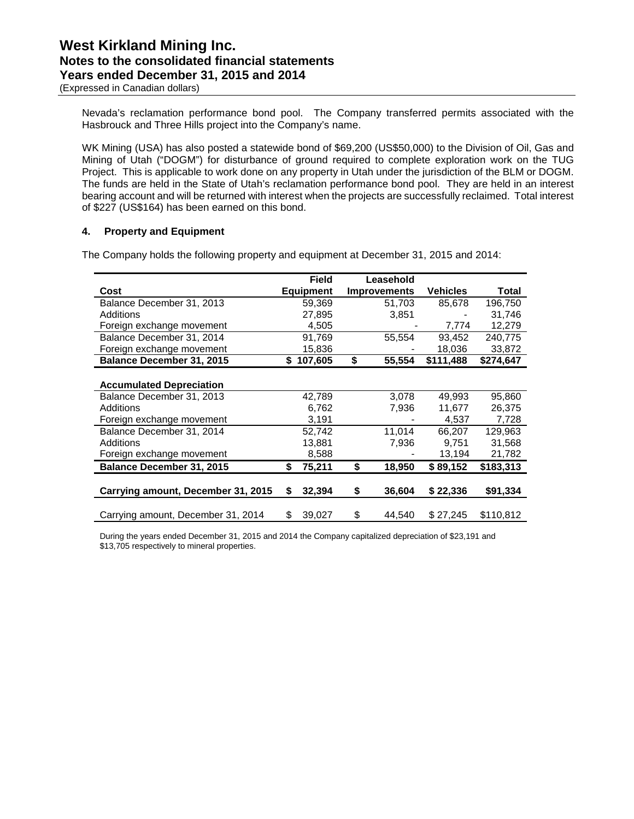(Expressed in Canadian dollars)

Nevada's reclamation performance bond pool. The Company transferred permits associated with the Hasbrouck and Three Hills project into the Company's name.

WK Mining (USA) has also posted a statewide bond of \$69,200 (US\$50,000) to the Division of Oil, Gas and Mining of Utah ("DOGM") for disturbance of ground required to complete exploration work on the TUG Project. This is applicable to work done on any property in Utah under the jurisdiction of the BLM or DOGM. The funds are held in the State of Utah's reclamation performance bond pool. They are held in an interest bearing account and will be returned with interest when the projects are successfully reclaimed. Total interest of \$227 (US\$164) has been earned on this bond.

### **4. Property and Equipment**

The Company holds the following property and equipment at December 31, 2015 and 2014:

|                                    |    | <b>Field</b>     | Leasehold           |                 |           |
|------------------------------------|----|------------------|---------------------|-----------------|-----------|
| Cost                               |    | <b>Equipment</b> | <b>Improvements</b> | <b>Vehicles</b> | Total     |
| Balance December 31, 2013          |    | 59,369           | 51,703              | 85,678          | 196,750   |
| Additions                          |    | 27,895           | 3,851               |                 | 31.746    |
| Foreign exchange movement          |    | 4,505            |                     | 7,774           | 12,279    |
| Balance December 31, 2014          |    | 91,769           | 55,554              | 93,452          | 240,775   |
| Foreign exchange movement          |    | 15,836           |                     | 18,036          | 33,872    |
| <b>Balance December 31, 2015</b>   | S. | 107,605          | \$<br>55,554        | \$111,488       | \$274,647 |
|                                    |    |                  |                     |                 |           |
| <b>Accumulated Depreciation</b>    |    |                  |                     |                 |           |
| Balance December 31, 2013          |    | 42,789           | 3,078               | 49,993          | 95,860    |
| Additions                          |    | 6,762            | 7,936               | 11,677          | 26,375    |
| Foreign exchange movement          |    | 3,191            |                     | 4,537           | 7,728     |
| Balance December 31, 2014          |    | 52,742           | 11,014              | 66.207          | 129.963   |
| Additions                          |    | 13,881           | 7,936               | 9.751           | 31,568    |
| Foreign exchange movement          |    | 8,588            |                     | 13,194          | 21,782    |
| <b>Balance December 31, 2015</b>   | \$ | 75,211           | \$<br>18,950        | \$89.152        | \$183,313 |
|                                    |    |                  |                     |                 |           |
| Carrying amount, December 31, 2015 | S  | 32,394           | \$<br>36,604        | \$22,336        | \$91,334  |
|                                    |    |                  |                     |                 |           |
| Carrying amount, December 31, 2014 | S  | 39,027           | \$<br>44,540        | \$27,245        | \$110,812 |

During the years ended December 31, 2015 and 2014 the Company capitalized depreciation of \$23,191 and \$13,705 respectively to mineral properties.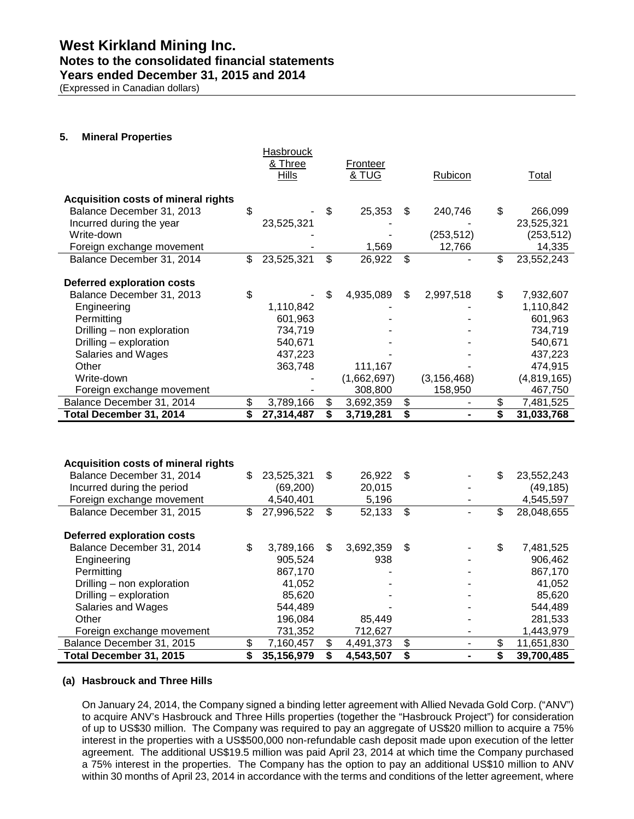### **Notes to the consolidated financial statements**

**Years ended December 31, 2015 and 2014**

(Expressed in Canadian dollars)

### **5. Mineral Properties**

|                                                                |    | <b>Hasbrouck</b><br>& Three<br><b>Hills</b> | Fronteer<br>& TUG | Rubicon                            | Total              |
|----------------------------------------------------------------|----|---------------------------------------------|-------------------|------------------------------------|--------------------|
|                                                                |    |                                             |                   |                                    |                    |
| <b>Acquisition costs of mineral rights</b>                     |    |                                             |                   |                                    |                    |
| Balance December 31, 2013                                      | \$ |                                             | \$<br>25,353      | \$<br>240,746                      | \$<br>266,099      |
| Incurred during the year                                       |    | 23,525,321                                  |                   |                                    | 23,525,321         |
| Write-down                                                     |    |                                             |                   | (253, 512)                         | (253, 512)         |
| Foreign exchange movement                                      |    |                                             | 1,569             | 12,766                             | 14,335             |
| Balance December 31, 2014                                      | \$ | 23,525,321                                  | \$<br>26,922      | \$                                 | \$<br>23,552,243   |
|                                                                |    |                                             |                   |                                    |                    |
| <b>Deferred exploration costs</b>                              |    |                                             |                   |                                    |                    |
| Balance December 31, 2013                                      | \$ |                                             | \$<br>4,935,089   | \$<br>2,997,518                    | \$<br>7,932,607    |
| Engineering                                                    |    | 1,110,842                                   |                   |                                    | 1,110,842          |
| Permitting                                                     |    | 601,963                                     |                   |                                    | 601,963            |
| Drilling - non exploration                                     |    | 734,719                                     |                   |                                    | 734,719            |
| Drilling - exploration                                         |    | 540,671                                     |                   |                                    | 540,671            |
| Salaries and Wages                                             |    | 437,223                                     |                   |                                    | 437,223            |
| Other                                                          |    | 363,748                                     | 111,167           |                                    | 474,915            |
| Write-down                                                     |    |                                             | (1,662,697)       | (3, 156, 468)                      | (4,819,165)        |
| Foreign exchange movement                                      |    |                                             | 308,800           | 158,950                            | 467,750            |
| Balance December 31, 2014                                      | \$ | 3,789,166                                   | \$<br>3,692,359   | \$<br>$\qquad \qquad \blacksquare$ | \$<br>7,481,525    |
| Total December 31, 2014                                        | s, | 27,314,487                                  | \$<br>3,719,281   | \$                                 | \$<br>31,033,768   |
|                                                                |    |                                             |                   |                                    |                    |
|                                                                |    |                                             |                   |                                    |                    |
|                                                                |    |                                             |                   |                                    |                    |
| <b>Acquisition costs of mineral rights</b>                     |    |                                             |                   |                                    |                    |
| Balance December 31, 2014                                      | \$ | 23,525,321                                  | \$<br>26,922      | \$                                 | \$<br>23,552,243   |
| Incurred during the period                                     |    | (69, 200)                                   | 20,015            |                                    | (49, 185)          |
| Foreign exchange movement                                      |    | 4,540,401                                   | 5,196             | ٠                                  | 4,545,597          |
| Balance December 31, 2015                                      | \$ | 27,996,522                                  | \$<br>52,133      | \$                                 | \$<br>28,048,655   |
|                                                                |    |                                             |                   |                                    |                    |
| <b>Deferred exploration costs</b><br>Balance December 31, 2014 | \$ | 3,789,166                                   | \$<br>3,692,359   | \$                                 | \$<br>7,481,525    |
|                                                                |    |                                             | 938               |                                    |                    |
| Engineering<br>Permitting                                      |    | 905,524<br>867,170                          |                   |                                    | 906,462<br>867,170 |
|                                                                |    |                                             |                   |                                    | 41,052             |
| Drilling - non exploration<br>Drilling - exploration           |    | 41,052<br>85,620                            |                   |                                    | 85,620             |
| Salaries and Wages                                             |    | 544,489                                     |                   |                                    | 544,489            |
| Other                                                          |    | 196,084                                     | 85,449            |                                    | 281,533            |
| Foreign exchange movement                                      |    | 731,352                                     | 712,627           |                                    | 1,443,979          |
| Balance December 31, 2015                                      | \$ | 7,160,457                                   | \$<br>4,491,373   | \$<br>$\blacksquare$               | \$<br>11,651,830   |
| Total December 31, 2015                                        | \$ | 35,156,979                                  | \$<br>4,543,507   | \$<br>$\overline{\phantom{0}}$     | \$<br>39,700,485   |

### **(a) Hasbrouck and Three Hills**

On January 24, 2014, the Company signed a binding letter agreement with Allied Nevada Gold Corp. ("ANV") to acquire ANV's Hasbrouck and Three Hills properties (together the "Hasbrouck Project") for consideration of up to US\$30 million. The Company was required to pay an aggregate of US\$20 million to acquire a 75% interest in the properties with a US\$500,000 non-refundable cash deposit made upon execution of the letter agreement. The additional US\$19.5 million was paid April 23, 2014 at which time the Company purchased a 75% interest in the properties. The Company has the option to pay an additional US\$10 million to ANV within 30 months of April 23, 2014 in accordance with the terms and conditions of the letter agreement, where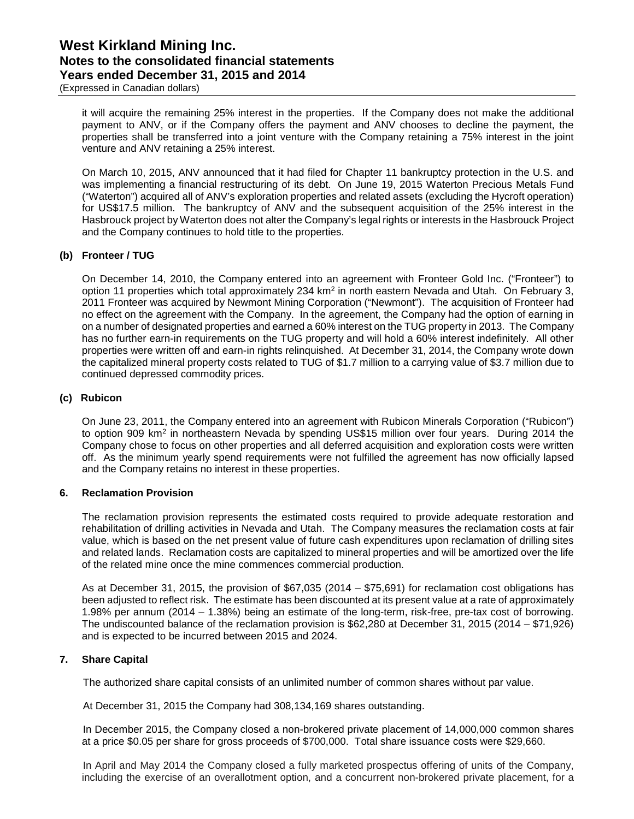(Expressed in Canadian dollars)

it will acquire the remaining 25% interest in the properties. If the Company does not make the additional payment to ANV, or if the Company offers the payment and ANV chooses to decline the payment, the properties shall be transferred into a joint venture with the Company retaining a 75% interest in the joint venture and ANV retaining a 25% interest.

On March 10, 2015, ANV announced that it had filed for Chapter 11 bankruptcy protection in the U.S. and was implementing a financial restructuring of its debt. On June 19, 2015 Waterton Precious Metals Fund ("Waterton") acquired all of ANV's exploration properties and related assets (excluding the Hycroft operation) for US\$17.5 million. The bankruptcy of ANV and the subsequent acquisition of the 25% interest in the Hasbrouck project by Waterton does not alter the Company's legal rights or interests in the Hasbrouck Project and the Company continues to hold title to the properties.

### **(b) Fronteer / TUG**

On December 14, 2010, the Company entered into an agreement with Fronteer Gold Inc. ("Fronteer") to option 11 properties which total approximately 234 km2 in north eastern Nevada and Utah. On February 3, 2011 Fronteer was acquired by Newmont Mining Corporation ("Newmont"). The acquisition of Fronteer had no effect on the agreement with the Company. In the agreement, the Company had the option of earning in on a number of designated properties and earned a 60% interest on the TUG property in 2013. The Company has no further earn-in requirements on the TUG property and will hold a 60% interest indefinitely. All other properties were written off and earn-in rights relinquished. At December 31, 2014, the Company wrote down the capitalized mineral property costs related to TUG of \$1.7 million to a carrying value of \$3.7 million due to continued depressed commodity prices.

### **(c) Rubicon**

On June 23, 2011, the Company entered into an agreement with Rubicon Minerals Corporation ("Rubicon") to option 909 km<sup>2</sup> in northeastern Nevada by spending US\$15 million over four years. During 2014 the Company chose to focus on other properties and all deferred acquisition and exploration costs were written off. As the minimum yearly spend requirements were not fulfilled the agreement has now officially lapsed and the Company retains no interest in these properties.

### **6. Reclamation Provision**

The reclamation provision represents the estimated costs required to provide adequate restoration and rehabilitation of drilling activities in Nevada and Utah. The Company measures the reclamation costs at fair value, which is based on the net present value of future cash expenditures upon reclamation of drilling sites and related lands. Reclamation costs are capitalized to mineral properties and will be amortized over the life of the related mine once the mine commences commercial production.

As at December 31, 2015, the provision of \$67,035 (2014 – \$75,691) for reclamation cost obligations has been adjusted to reflect risk. The estimate has been discounted at its present value at a rate of approximately 1.98% per annum (2014 – 1.38%) being an estimate of the long-term, risk-free, pre-tax cost of borrowing. The undiscounted balance of the reclamation provision is \$62,280 at December 31, 2015 (2014 – \$71,926) and is expected to be incurred between 2015 and 2024.

### **7. Share Capital**

The authorized share capital consists of an unlimited number of common shares without par value.

At December 31, 2015 the Company had 308,134,169 shares outstanding.

In December 2015, the Company closed a non-brokered private placement of 14,000,000 common shares at a price \$0.05 per share for gross proceeds of \$700,000. Total share issuance costs were \$29,660.

In April and May 2014 the Company closed a fully marketed prospectus offering of units of the Company, including the exercise of an overallotment option, and a concurrent non-brokered private placement, for a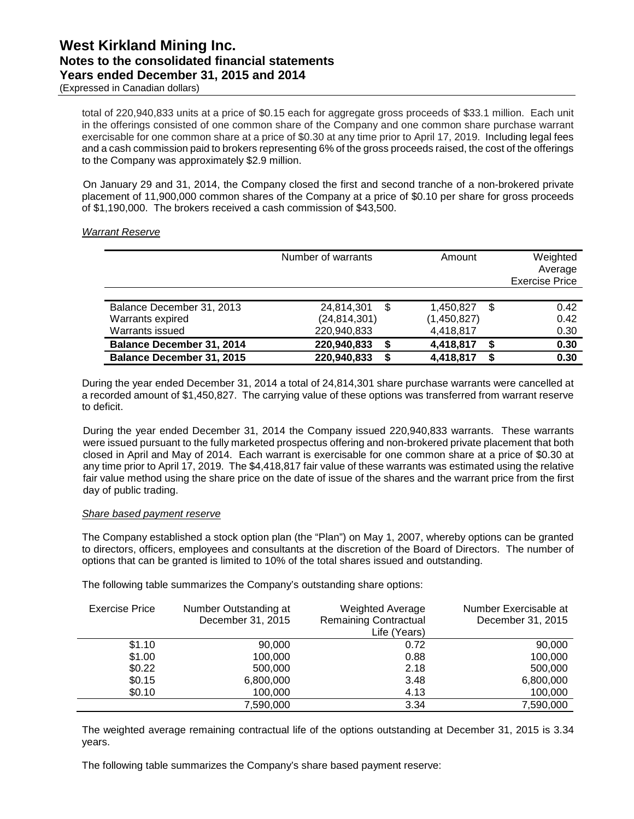total of 220,940,833 units at a price of \$0.15 each for aggregate gross proceeds of \$33.1 million. Each unit in the offerings consisted of one common share of the Company and one common share purchase warrant exercisable for one common share at a price of \$0.30 at any time prior to April 17, 2019. Including legal fees and a cash commission paid to brokers representing 6% of the gross proceeds raised, the cost of the offerings to the Company was approximately \$2.9 million.

On January 29 and 31, 2014, the Company closed the first and second tranche of a non-brokered private placement of 11,900,000 common shares of the Company at a price of \$0.10 per share for gross proceeds of \$1,190,000. The brokers received a cash commission of \$43,500.

### *Warrant Reserve*

|                                  | Number of warrants |      | Amount      |    | Weighted<br>Average<br><b>Exercise Price</b> |
|----------------------------------|--------------------|------|-------------|----|----------------------------------------------|
|                                  |                    |      |             |    |                                              |
| Balance December 31, 2013        | 24,814,301         | - \$ | 1,450,827   | \$ | 0.42                                         |
| Warrants expired                 | (24, 814, 301)     |      | (1,450,827) |    | 0.42                                         |
| Warrants issued                  | 220,940,833        |      | 4,418,817   |    | 0.30                                         |
| <b>Balance December 31, 2014</b> | 220,940,833        | S.   | 4,418,817   | S  | 0.30                                         |
| <b>Balance December 31, 2015</b> | 220,940,833        | S    | 4,418,817   |    | 0.30                                         |

During the year ended December 31, 2014 a total of 24,814,301 share purchase warrants were cancelled at a recorded amount of \$1,450,827. The carrying value of these options was transferred from warrant reserve to deficit.

During the year ended December 31, 2014 the Company issued 220,940,833 warrants. These warrants were issued pursuant to the fully marketed prospectus offering and non-brokered private placement that both closed in April and May of 2014. Each warrant is exercisable for one common share at a price of \$0.30 at any time prior to April 17, 2019. The \$4,418,817 fair value of these warrants was estimated using the relative fair value method using the share price on the date of issue of the shares and the warrant price from the first day of public trading.

### *Share based payment reserve*

The Company established a stock option plan (the "Plan") on May 1, 2007, whereby options can be granted to directors, officers, employees and consultants at the discretion of the Board of Directors. The number of options that can be granted is limited to 10% of the total shares issued and outstanding.

The following table summarizes the Company's outstanding share options:

| <b>Exercise Price</b> | Number Outstanding at<br>December 31, 2015 | <b>Weighted Average</b><br><b>Remaining Contractual</b><br>Life (Years) | Number Exercisable at<br>December 31, 2015 |
|-----------------------|--------------------------------------------|-------------------------------------------------------------------------|--------------------------------------------|
| \$1.10                | 90,000                                     | 0.72                                                                    | 90,000                                     |
| \$1.00                | 100,000                                    | 0.88                                                                    | 100,000                                    |
| \$0.22                | 500,000                                    | 2.18                                                                    | 500,000                                    |
| \$0.15                | 6,800,000                                  | 3.48                                                                    | 6,800,000                                  |
| \$0.10                | 100,000                                    | 4.13                                                                    | 100,000                                    |
|                       | 7,590,000                                  | 3.34                                                                    | 7,590,000                                  |

The weighted average remaining contractual life of the options outstanding at December 31, 2015 is 3.34 years.

The following table summarizes the Company's share based payment reserve: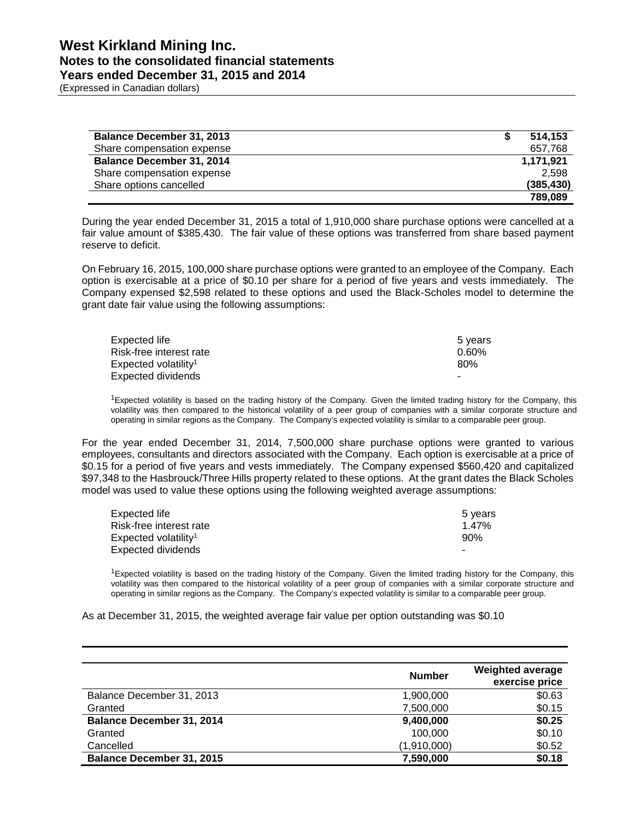(Expressed in Canadian dollars)

| <b>Balance December 31, 2013</b> | 514.153    |
|----------------------------------|------------|
| Share compensation expense       | 657,768    |
| <b>Balance December 31, 2014</b> | 1,171,921  |
| Share compensation expense       | 2.598      |
| Share options cancelled          | (385, 430) |
|                                  | 789.089    |

During the year ended December 31, 2015 a total of 1,910,000 share purchase options were cancelled at a fair value amount of \$385,430. The fair value of these options was transferred from share based payment reserve to deficit.

On February 16, 2015, 100,000 share purchase options were granted to an employee of the Company. Each option is exercisable at a price of \$0.10 per share for a period of five years and vests immediately. The Company expensed \$2,598 related to these options and used the Black-Scholes model to determine the grant date fair value using the following assumptions:

| Expected life                    | 5 vears  |
|----------------------------------|----------|
| Risk-free interest rate          | $0.60\%$ |
| Expected volatility <sup>1</sup> | 80%      |
| Expected dividends               |          |

<sup>1</sup>Expected volatility is based on the trading history of the Company. Given the limited trading history for the Company, this volatility was then compared to the historical volatility of a peer group of companies with a similar corporate structure and operating in similar regions as the Company. The Company's expected volatility is similar to a comparable peer group.

For the year ended December 31, 2014, 7,500,000 share purchase options were granted to various employees, consultants and directors associated with the Company. Each option is exercisable at a price of \$0.15 for a period of five years and vests immediately. The Company expensed \$560,420 and capitalized \$97,348 to the Hasbrouck/Three Hills property related to these options. At the grant dates the Black Scholes model was used to value these options using the following weighted average assumptions:

| Expected life                      | 5 vears |
|------------------------------------|---------|
| Risk-free interest rate            | 1.47%   |
| $Expected$ volatility <sup>1</sup> | 90%     |
| Expected dividends                 |         |

<sup>1</sup>Expected volatility is based on the trading history of the Company. Given the limited trading history for the Company, this volatility was then compared to the historical volatility of a peer group of companies with a similar corporate structure and operating in similar regions as the Company. The Company's expected volatility is similar to a comparable peer group.

As at December 31, 2015, the weighted average fair value per option outstanding was \$0.10

|                                  | <b>Number</b> | <b>Weighted average</b><br>exercise price |
|----------------------------------|---------------|-------------------------------------------|
| Balance December 31, 2013        | 1,900,000     | \$0.63                                    |
| Granted                          | 7,500,000     | \$0.15                                    |
| <b>Balance December 31, 2014</b> | 9,400,000     | \$0.25                                    |
| Granted                          | 100,000       | \$0.10                                    |
| Cancelled                        | (1,910,000)   | \$0.52                                    |
| <b>Balance December 31, 2015</b> | 7,590,000     | \$0.18                                    |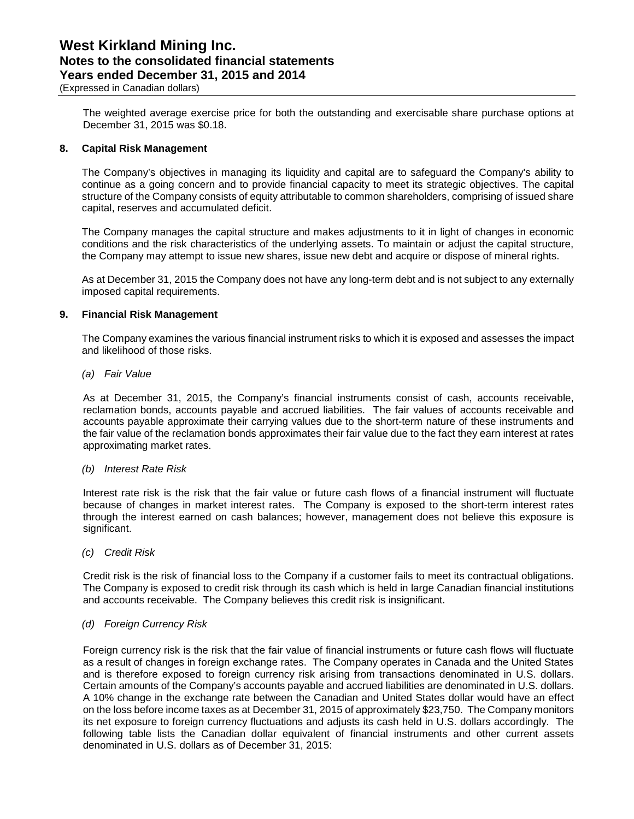(Expressed in Canadian dollars)

The weighted average exercise price for both the outstanding and exercisable share purchase options at December 31, 2015 was \$0.18.

#### **8. Capital Risk Management**

The Company's objectives in managing its liquidity and capital are to safeguard the Company's ability to continue as a going concern and to provide financial capacity to meet its strategic objectives. The capital structure of the Company consists of equity attributable to common shareholders, comprising of issued share capital, reserves and accumulated deficit.

The Company manages the capital structure and makes adjustments to it in light of changes in economic conditions and the risk characteristics of the underlying assets. To maintain or adjust the capital structure, the Company may attempt to issue new shares, issue new debt and acquire or dispose of mineral rights.

As at December 31, 2015 the Company does not have any long-term debt and is not subject to any externally imposed capital requirements.

#### **9. Financial Risk Management**

The Company examines the various financial instrument risks to which it is exposed and assesses the impact and likelihood of those risks.

*(a) Fair Value*

As at December 31, 2015, the Company's financial instruments consist of cash, accounts receivable, reclamation bonds, accounts payable and accrued liabilities. The fair values of accounts receivable and accounts payable approximate their carrying values due to the short-term nature of these instruments and the fair value of the reclamation bonds approximates their fair value due to the fact they earn interest at rates approximating market rates.

#### *(b) Interest Rate Risk*

Interest rate risk is the risk that the fair value or future cash flows of a financial instrument will fluctuate because of changes in market interest rates. The Company is exposed to the short-term interest rates through the interest earned on cash balances; however, management does not believe this exposure is significant.

*(c) Credit Risk*

Credit risk is the risk of financial loss to the Company if a customer fails to meet its contractual obligations. The Company is exposed to credit risk through its cash which is held in large Canadian financial institutions and accounts receivable. The Company believes this credit risk is insignificant.

#### *(d) Foreign Currency Risk*

Foreign currency risk is the risk that the fair value of financial instruments or future cash flows will fluctuate as a result of changes in foreign exchange rates. The Company operates in Canada and the United States and is therefore exposed to foreign currency risk arising from transactions denominated in U.S. dollars. Certain amounts of the Company's accounts payable and accrued liabilities are denominated in U.S. dollars. A 10% change in the exchange rate between the Canadian and United States dollar would have an effect on the loss before income taxes as at December 31, 2015 of approximately \$23,750. The Company monitors its net exposure to foreign currency fluctuations and adjusts its cash held in U.S. dollars accordingly. The following table lists the Canadian dollar equivalent of financial instruments and other current assets denominated in U.S. dollars as of December 31, 2015: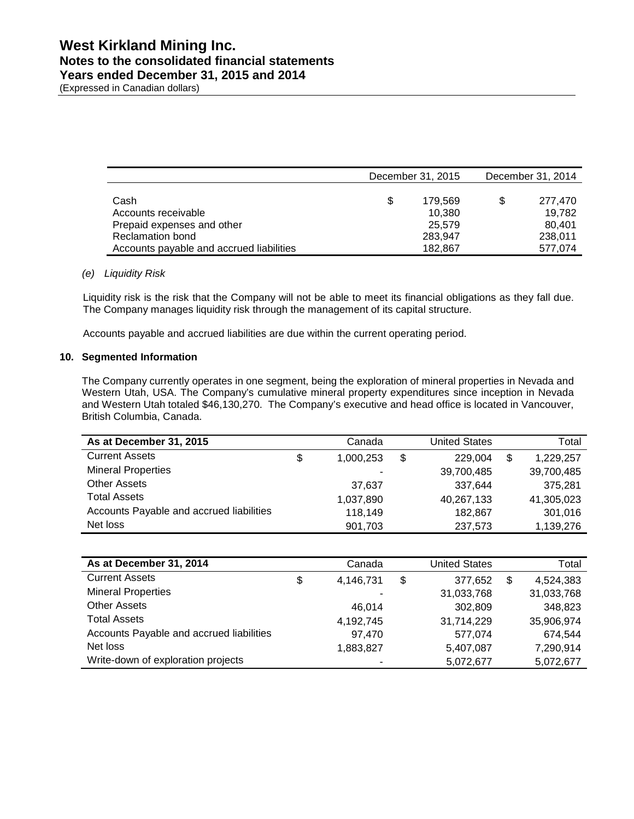(Expressed in Canadian dollars)

|                                          | December 31, 2015 | December 31, 2014 |         |  |
|------------------------------------------|-------------------|-------------------|---------|--|
|                                          |                   |                   |         |  |
| Cash                                     | \$<br>179.569     | \$.               | 277.470 |  |
| Accounts receivable                      | 10.380            |                   | 19.782  |  |
| Prepaid expenses and other               | 25.579            |                   | 80.401  |  |
| <b>Reclamation bond</b>                  | 283,947           |                   | 238.011 |  |
| Accounts payable and accrued liabilities | 182.867           |                   | 577,074 |  |

### *(e) Liquidity Risk*

Liquidity risk is the risk that the Company will not be able to meet its financial obligations as they fall due. The Company manages liquidity risk through the management of its capital structure.

Accounts payable and accrued liabilities are due within the current operating period.

#### **10. Segmented Information**

The Company currently operates in one segment, being the exploration of mineral properties in Nevada and Western Utah, USA. The Company's cumulative mineral property expenditures since inception in Nevada and Western Utah totaled \$46,130,270. The Company's executive and head office is located in Vancouver, British Columbia, Canada.

| As at December 31, 2015                  | Canada          | <b>United States</b> | Total      |
|------------------------------------------|-----------------|----------------------|------------|
| <b>Current Assets</b>                    | \$<br>1,000,253 | \$<br>229,004        | 1,229,257  |
| <b>Mineral Properties</b>                | ۰               | 39,700,485           | 39,700,485 |
| <b>Other Assets</b>                      | 37.637          | 337,644              | 375,281    |
| <b>Total Assets</b>                      | 1,037,890       | 40,267,133           | 41,305,023 |
| Accounts Payable and accrued liabilities | 118,149         | 182.867              | 301,016    |
| Net loss                                 | 901,703         | 237,573              | 1,139,276  |

| As at December 31, 2014                  | Canada          | <b>United States</b> | Total           |
|------------------------------------------|-----------------|----------------------|-----------------|
| <b>Current Assets</b>                    | \$<br>4,146,731 | \$<br>377,652        | \$<br>4,524,383 |
| <b>Mineral Properties</b>                |                 | 31,033,768           | 31,033,768      |
| <b>Other Assets</b>                      | 46.014          | 302,809              | 348,823         |
| <b>Total Assets</b>                      | 4,192,745       | 31,714,229           | 35,906,974      |
| Accounts Payable and accrued liabilities | 97,470          | 577,074              | 674.544         |
| Net loss                                 | 1,883,827       | 5,407,087            | 7,290,914       |
| Write-down of exploration projects       | ۰               | 5,072,677            | 5,072,677       |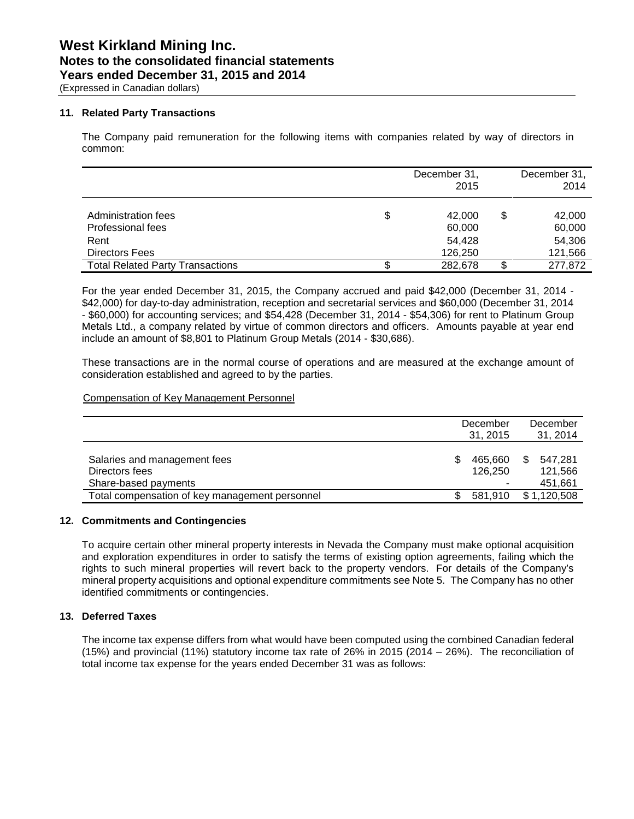(Expressed in Canadian dollars)

### **11. Related Party Transactions**

The Company paid remuneration for the following items with companies related by way of directors in common:

|                                                                    |   | December 31,<br>2015                  |    | December 31,<br>2014                  |
|--------------------------------------------------------------------|---|---------------------------------------|----|---------------------------------------|
| Administration fees<br>Professional fees<br>Rent<br>Directors Fees | S | 42,000<br>60,000<br>54,428<br>126,250 | \$ | 42,000<br>60,000<br>54,306<br>121,566 |
| <b>Total Related Party Transactions</b>                            |   | 282,678                               | S  | 277,872                               |

For the year ended December 31, 2015, the Company accrued and paid \$42,000 (December 31, 2014 - \$42,000) for day-to-day administration, reception and secretarial services and \$60,000 (December 31, 2014 - \$60,000) for accounting services; and \$54,428 (December 31, 2014 - \$54,306) for rent to Platinum Group Metals Ltd., a company related by virtue of common directors and officers. Amounts payable at year end include an amount of \$8,801 to Platinum Group Metals (2014 - \$30,686).

These transactions are in the normal course of operations and are measured at the exchange amount of consideration established and agreed to by the parties.

### Compensation of Key Management Personnel

|                                                |   | December | December       |
|------------------------------------------------|---|----------|----------------|
|                                                |   | 31.2015  | 31, 2014       |
|                                                |   |          |                |
| Salaries and management fees                   | S | 465.660  | \$.<br>547.281 |
| Directors fees                                 |   | 126.250  | 121,566        |
| Share-based payments                           |   |          | 451,661        |
| Total compensation of key management personnel |   | 581.910  | \$1.120.508    |

### **12. Commitments and Contingencies**

To acquire certain other mineral property interests in Nevada the Company must make optional acquisition and exploration expenditures in order to satisfy the terms of existing option agreements, failing which the rights to such mineral properties will revert back to the property vendors. For details of the Company's mineral property acquisitions and optional expenditure commitments see Note 5. The Company has no other identified commitments or contingencies.

### **13. Deferred Taxes**

The income tax expense differs from what would have been computed using the combined Canadian federal (15%) and provincial (11%) statutory income tax rate of 26% in 2015 (2014 – 26%). The reconciliation of total income tax expense for the years ended December 31 was as follows: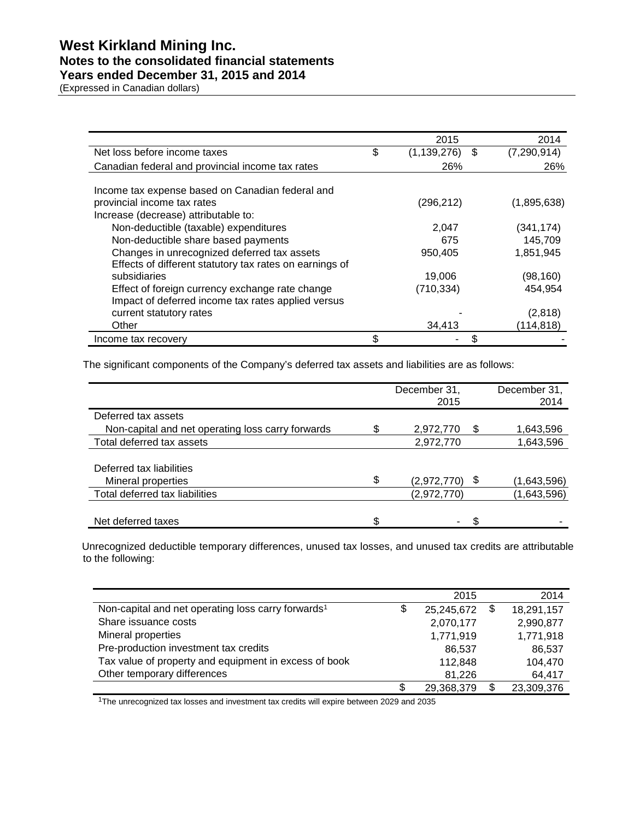## **Notes to the consolidated financial statements**

### **Years ended December 31, 2015 and 2014**

(Expressed in Canadian dollars)

|                                                                                 | 2015                      | 2014        |
|---------------------------------------------------------------------------------|---------------------------|-------------|
| Net loss before income taxes                                                    | \$<br>\$<br>(1, 139, 276) | (7,290,914) |
| Canadian federal and provincial income tax rates                                | 26%                       | 26%         |
| Income tax expense based on Canadian federal and<br>provincial income tax rates | (296, 212)                | (1,895,638) |
| Increase (decrease) attributable to:                                            |                           |             |
| Non-deductible (taxable) expenditures                                           | 2,047                     | (341, 174)  |
| Non-deductible share based payments                                             | 675                       | 145,709     |
| Changes in unrecognized deferred tax assets                                     | 950,405                   | 1,851,945   |
| Effects of different statutory tax rates on earnings of                         |                           |             |
| subsidiaries                                                                    | 19,006                    | (98, 160)   |
| Effect of foreign currency exchange rate change                                 | (710, 334)                | 454.954     |
| Impact of deferred income tax rates applied versus                              |                           |             |
| current statutory rates                                                         |                           | (2,818)     |
| Other                                                                           | 34,413                    | (114, 818)  |
| Income tax recovery                                                             | \$                        |             |

The significant components of the Company's deferred tax assets and liabilities are as follows:

|                                                   |    | December 31,<br>2015 |    | December 31,<br>2014 |
|---------------------------------------------------|----|----------------------|----|----------------------|
| Deferred tax assets                               |    |                      |    |                      |
| Non-capital and net operating loss carry forwards | S  | 2,972,770            | S  | 1,643,596            |
| Total deferred tax assets                         |    | 2,972,770            |    | 1,643,596            |
|                                                   |    |                      |    |                      |
| Deferred tax liabilities                          |    |                      |    |                      |
| Mineral properties                                | \$ | (2,972,770)          | \$ | (1,643,596)          |
| Total deferred tax liabilities                    |    | (2,972,770)          |    | (1,643,596)          |
|                                                   |    |                      |    |                      |
| Net deferred taxes                                | \$ | -                    |    |                      |

Unrecognized deductible temporary differences, unused tax losses, and unused tax credits are attributable to the following:

|                                                                | 2015             |      | 2014       |
|----------------------------------------------------------------|------------------|------|------------|
| Non-capital and net operating loss carry forwards <sup>1</sup> | \$<br>25,245,672 | - \$ | 18,291,157 |
| Share issuance costs                                           | 2,070,177        |      | 2,990,877  |
| Mineral properties                                             | 1,771,919        |      | 1,771,918  |
| Pre-production investment tax credits                          | 86.537           |      | 86,537     |
| Tax value of property and equipment in excess of book          | 112.848          |      | 104,470    |
| Other temporary differences                                    | 81,226           |      | 64,417     |
|                                                                | \$<br>29,368,379 | S    | 23,309,376 |

1The unrecognized tax losses and investment tax credits will expire between 2029 and 2035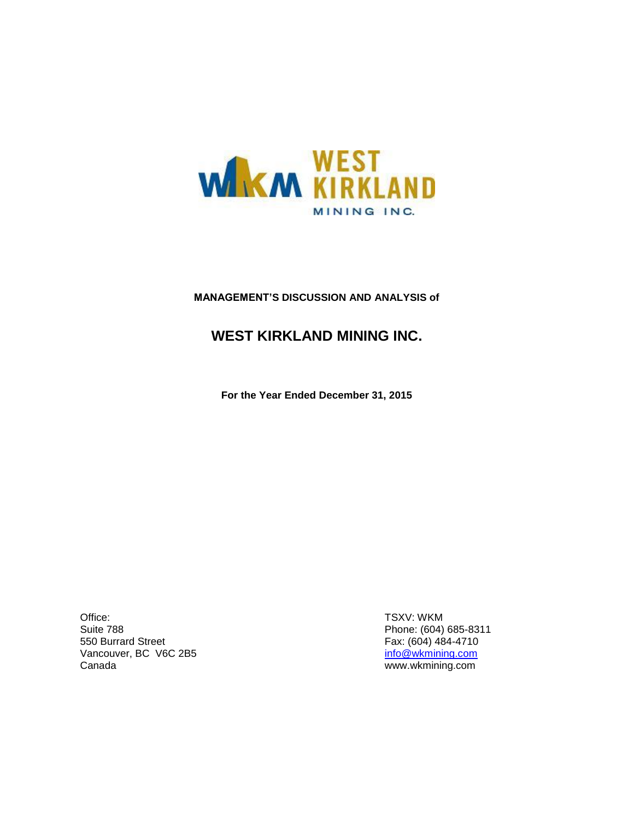

### **MANAGEMENT'S DISCUSSION AND ANALYSIS of**

## **WEST KIRKLAND MINING INC.**

**For the Year Ended December 31, 2015**

Office: Suite 788 550 Burrard Street Vancouver, BC V6C 2B5 Canada

TSXV: WKM Phone: (604) 685-8311 Fax: (604) 484-4710 [info@wkmining.com](mailto:info@wkmining.com) www.wkmining.com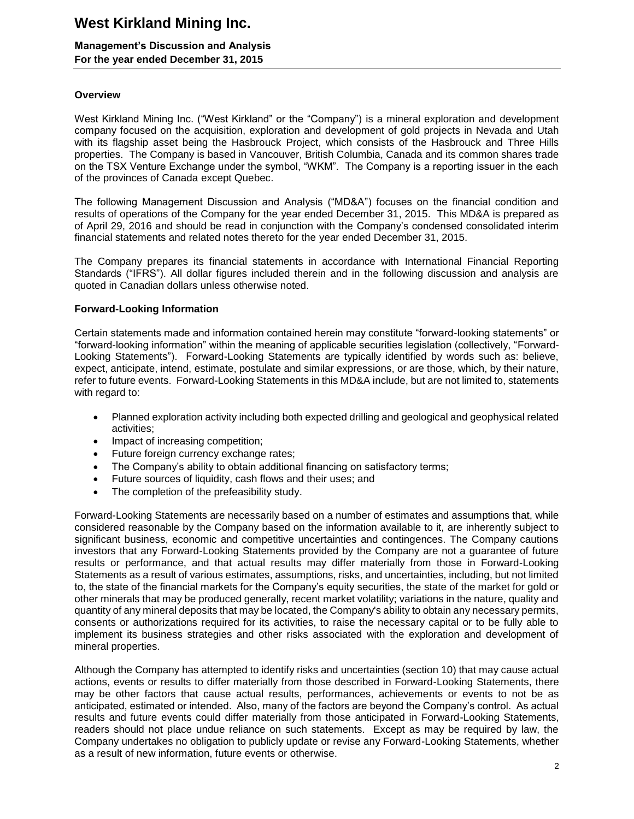### **Management's Discussion and Analysis For the year ended December 31, 2015**

### **Overview**

West Kirkland Mining Inc. ("West Kirkland" or the "Company") is a mineral exploration and development company focused on the acquisition, exploration and development of gold projects in Nevada and Utah with its flagship asset being the Hasbrouck Project, which consists of the Hasbrouck and Three Hills properties. The Company is based in Vancouver, British Columbia, Canada and its common shares trade on the TSX Venture Exchange under the symbol, "WKM". The Company is a reporting issuer in the each of the provinces of Canada except Quebec.

The following Management Discussion and Analysis ("MD&A") focuses on the financial condition and results of operations of the Company for the year ended December 31, 2015. This MD&A is prepared as of April 29, 2016 and should be read in conjunction with the Company's condensed consolidated interim financial statements and related notes thereto for the year ended December 31, 2015.

The Company prepares its financial statements in accordance with International Financial Reporting Standards ("IFRS"). All dollar figures included therein and in the following discussion and analysis are quoted in Canadian dollars unless otherwise noted.

### **Forward-Looking Information**

Certain statements made and information contained herein may constitute "forward-looking statements" or "forward-looking information" within the meaning of applicable securities legislation (collectively, "Forward-Looking Statements"). Forward-Looking Statements are typically identified by words such as: believe, expect, anticipate, intend, estimate, postulate and similar expressions, or are those, which, by their nature, refer to future events. Forward-Looking Statements in this MD&A include, but are not limited to, statements with regard to:

- Planned exploration activity including both expected drilling and geological and geophysical related activities;
- Impact of increasing competition;
- Future foreign currency exchange rates;
- The Company's ability to obtain additional financing on satisfactory terms;
- Future sources of liquidity, cash flows and their uses; and
- The completion of the prefeasibility study.

Forward-Looking Statements are necessarily based on a number of estimates and assumptions that, while considered reasonable by the Company based on the information available to it, are inherently subject to significant business, economic and competitive uncertainties and contingences. The Company cautions investors that any Forward-Looking Statements provided by the Company are not a guarantee of future results or performance, and that actual results may differ materially from those in Forward-Looking Statements as a result of various estimates, assumptions, risks, and uncertainties, including, but not limited to, the state of the financial markets for the Company's equity securities, the state of the market for gold or other minerals that may be produced generally, recent market volatility; variations in the nature, quality and quantity of any mineral deposits that may be located, the Company's ability to obtain any necessary permits, consents or authorizations required for its activities, to raise the necessary capital or to be fully able to implement its business strategies and other risks associated with the exploration and development of mineral properties.

Although the Company has attempted to identify risks and uncertainties (section 10) that may cause actual actions, events or results to differ materially from those described in Forward-Looking Statements, there may be other factors that cause actual results, performances, achievements or events to not be as anticipated, estimated or intended. Also, many of the factors are beyond the Company's control. As actual results and future events could differ materially from those anticipated in Forward-Looking Statements, readers should not place undue reliance on such statements. Except as may be required by law, the Company undertakes no obligation to publicly update or revise any Forward-Looking Statements, whether as a result of new information, future events or otherwise.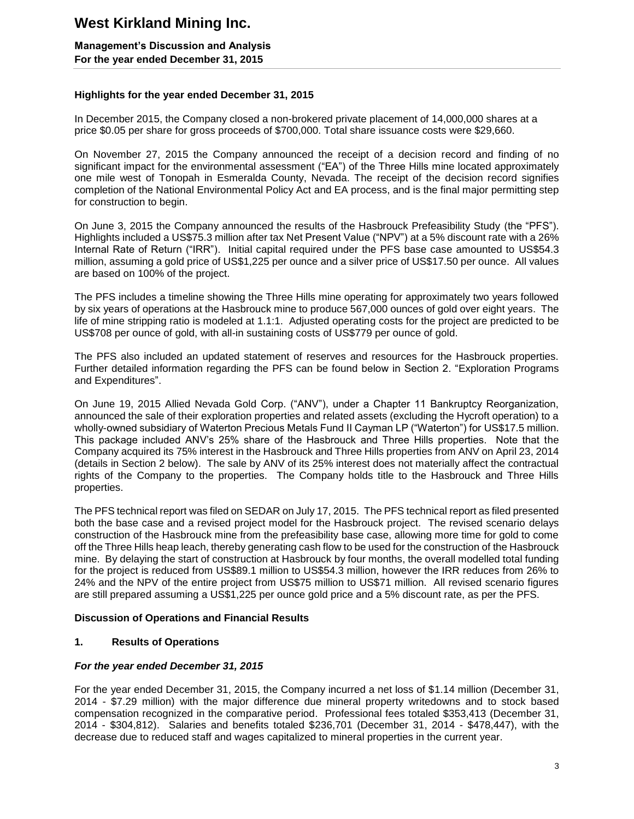**Management's Discussion and Analysis For the year ended December 31, 2015**

### **Highlights for the year ended December 31, 2015**

In December 2015, the Company closed a non-brokered private placement of 14,000,000 shares at a price \$0.05 per share for gross proceeds of \$700,000. Total share issuance costs were \$29,660.

On November 27, 2015 the Company announced the receipt of a decision record and finding of no significant impact for the environmental assessment ("EA") of the Three Hills mine located approximately one mile west of Tonopah in Esmeralda County, Nevada. The receipt of the decision record signifies completion of the National Environmental Policy Act and EA process, and is the final major permitting step for construction to begin.

On June 3, 2015 the Company announced the results of the Hasbrouck Prefeasibility Study (the "PFS"). Highlights included a US\$75.3 million after tax Net Present Value ("NPV") at a 5% discount rate with a 26% Internal Rate of Return ("IRR"). Initial capital required under the PFS base case amounted to US\$54.3 million, assuming a gold price of US\$1,225 per ounce and a silver price of US\$17.50 per ounce. All values are based on 100% of the project.

The PFS includes a timeline showing the Three Hills mine operating for approximately two years followed by six years of operations at the Hasbrouck mine to produce 567,000 ounces of gold over eight years. The life of mine stripping ratio is modeled at 1.1:1. Adjusted operating costs for the project are predicted to be US\$708 per ounce of gold, with all-in sustaining costs of US\$779 per ounce of gold.

The PFS also included an updated statement of reserves and resources for the Hasbrouck properties. Further detailed information regarding the PFS can be found below in Section 2. "Exploration Programs and Expenditures".

On June 19, 2015 Allied Nevada Gold Corp. ("ANV"), under a Chapter 11 Bankruptcy Reorganization, announced the sale of their exploration properties and related assets (excluding the Hycroft operation) to a wholly-owned subsidiary of Waterton Precious Metals Fund II Cayman LP ("Waterton") for US\$17.5 million. This package included ANV's 25% share of the Hasbrouck and Three Hills properties. Note that the Company acquired its 75% interest in the Hasbrouck and Three Hills properties from ANV on April 23, 2014 (details in Section 2 below). The sale by ANV of its 25% interest does not materially affect the contractual rights of the Company to the properties. The Company holds title to the Hasbrouck and Three Hills properties.

The PFS technical report was filed on SEDAR on July 17, 2015. The PFS technical report as filed presented both the base case and a revised project model for the Hasbrouck project. The revised scenario delays construction of the Hasbrouck mine from the prefeasibility base case, allowing more time for gold to come off the Three Hills heap leach, thereby generating cash flow to be used for the construction of the Hasbrouck mine. By delaying the start of construction at Hasbrouck by four months, the overall modelled total funding for the project is reduced from US\$89.1 million to US\$54.3 million, however the IRR reduces from 26% to 24% and the NPV of the entire project from US\$75 million to US\$71 million. All revised scenario figures are still prepared assuming a US\$1,225 per ounce gold price and a 5% discount rate, as per the PFS.

### **Discussion of Operations and Financial Results**

### **1. Results of Operations**

### *For the year ended December 31, 2015*

For the year ended December 31, 2015, the Company incurred a net loss of \$1.14 million (December 31, 2014 - \$7.29 million) with the major difference due mineral property writedowns and to stock based compensation recognized in the comparative period. Professional fees totaled \$353,413 (December 31, 2014 - \$304,812). Salaries and benefits totaled \$236,701 (December 31, 2014 - \$478,447), with the decrease due to reduced staff and wages capitalized to mineral properties in the current year.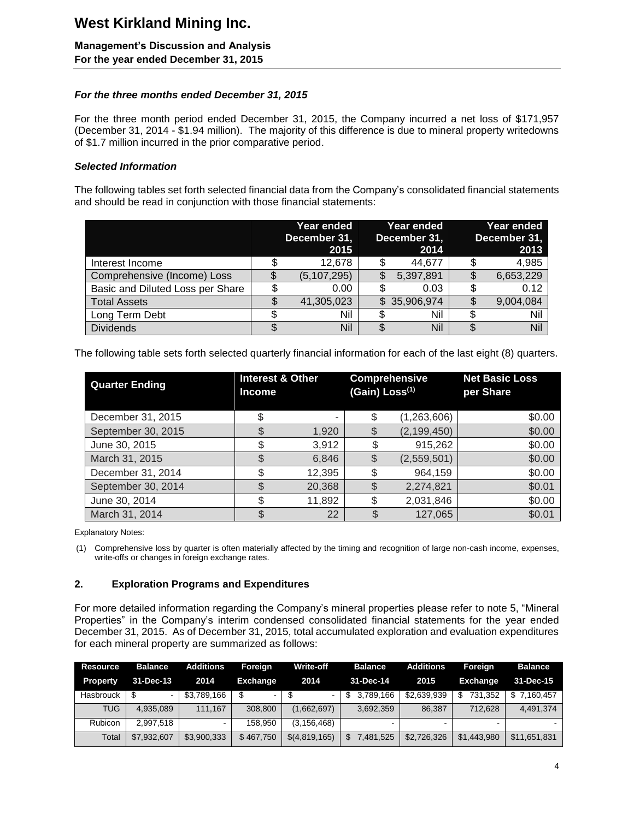## **Management's Discussion and Analysis**

**For the year ended December 31, 2015**

### *For the three months ended December 31, 2015*

For the three month period ended December 31, 2015, the Company incurred a net loss of \$171,957 (December 31, 2014 - \$1.94 million). The majority of this difference is due to mineral property writedowns of \$1.7 million incurred in the prior comparative period.

### *Selected Information*

The following tables set forth selected financial data from the Company's consolidated financial statements and should be read in conjunction with those financial statements:

|                                  | Year ended<br>December 31,<br>2015 | Year ended<br>December 31,<br>2014 |   | Year ended<br>December 31,<br>2013 |
|----------------------------------|------------------------------------|------------------------------------|---|------------------------------------|
| Interest Income                  | 12,678                             | 44,677                             |   | 4,985                              |
| Comprehensive (Income) Loss      | (5, 107, 295)                      | \$<br>5,397,891                    |   | 6,653,229                          |
| Basic and Diluted Loss per Share | 0.00                               | 0.03                               |   | 0.12                               |
| <b>Total Assets</b>              | 41,305,023                         | \$35,906,974                       |   | 9,004,084                          |
| Long Term Debt                   | Nil                                | Nil                                | S | Nil                                |
| <b>Dividends</b>                 | Nil                                | \$<br>Nil                          | S | Nil                                |

The following table sets forth selected quarterly financial information for each of the last eight (8) quarters.

| <b>Quarter Ending</b> | <b>Interest &amp; Other</b><br><b>Income</b> |        | (Gain) Loss <sup>(1)</sup> | <b>Comprehensive</b> | <b>Net Basic Loss</b><br>per Share |
|-----------------------|----------------------------------------------|--------|----------------------------|----------------------|------------------------------------|
| December 31, 2015     |                                              | -      |                            | (1,263,606)          | \$0.00                             |
| September 30, 2015    |                                              | 1,920  |                            | (2, 199, 450)        | \$0.00                             |
| June 30, 2015         |                                              | 3,912  |                            | 915,262              | \$0.00                             |
| March 31, 2015        |                                              | 6,846  |                            | (2,559,501)          | \$0.00                             |
| December 31, 2014     | \$                                           | 12,395 |                            | 964,159              | \$0.00                             |
| September 30, 2014    |                                              | 20,368 |                            | 2,274,821            | \$0.01                             |
| June 30, 2014         | \$                                           | 11,892 |                            | 2,031,846            | \$0.00                             |
| March 31, 2014        |                                              | 22     |                            | 127,065              | \$0.01                             |

Explanatory Notes:

(1) Comprehensive loss by quarter is often materially affected by the timing and recognition of large non-cash income, expenses, write-offs or changes in foreign exchange rates.

### **2. Exploration Programs and Expenditures**

For more detailed information regarding the Company's mineral properties please refer to note 5, "Mineral Properties" in the Company's interim condensed consolidated financial statements for the year ended December 31, 2015. As of December 31, 2015, total accumulated exploration and evaluation expenditures for each mineral property are summarized as follows:

| <b>Resource</b> | <b>Balance</b> | Additions   | Foreign         | <b>Write-off</b> | <b>Balance</b> | <b>Additions</b> | Foreign         | <b>Balance</b> |
|-----------------|----------------|-------------|-----------------|------------------|----------------|------------------|-----------------|----------------|
| <b>Property</b> | 31-Dec-13      | 2014        | <b>Exchange</b> | 2014             | 31-Dec-14      | 2015             | <b>Exchange</b> | 31-Dec-15      |
| Hasbrouck       |                | \$3,789,166 |                 | - \$             | \$ 3.789.166   | \$2,639,939      | 731.352<br>\$.  | \$7.160.457    |
| <b>TUG</b>      | 4.935.089      | 111.167     | 308,800         | (1,662,697)      | 3,692,359      | 86.387           | 712.628         | 4.491.374      |
| <b>Rubicon</b>  | 2.997.518      | $\sim$      | 158.950         | (3, 156, 468)    |                |                  | -               |                |
| Total           | \$7,932,607    | \$3,900,333 | \$467,750       | \$(4,819,165)    | \$7,481,525    | \$2,726,326      | \$1,443,980     | \$11,651,831   |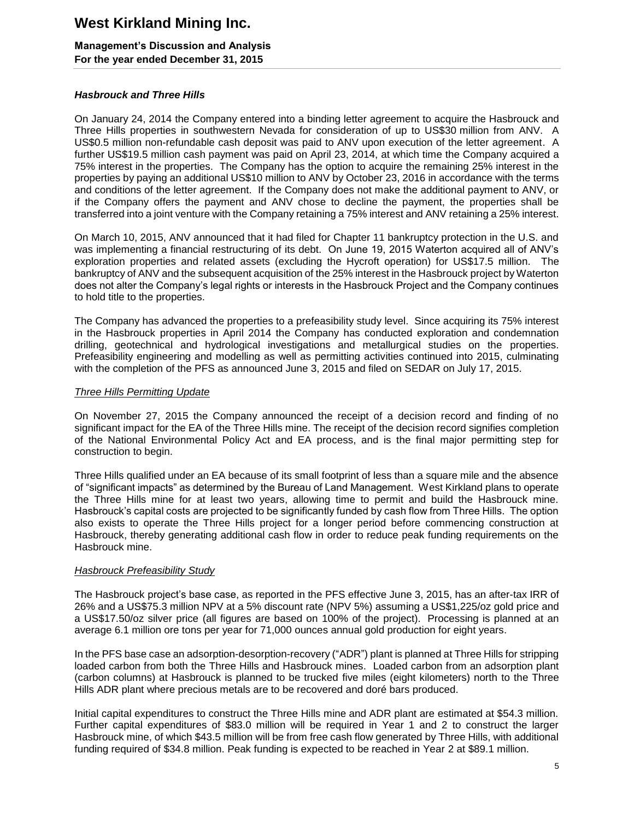### **Management's Discussion and Analysis For the year ended December 31, 2015**

### *Hasbrouck and Three Hills*

On January 24, 2014 the Company entered into a binding letter agreement to acquire the Hasbrouck and Three Hills properties in southwestern Nevada for consideration of up to US\$30 million from ANV. A US\$0.5 million non-refundable cash deposit was paid to ANV upon execution of the letter agreement. A further US\$19.5 million cash payment was paid on April 23, 2014, at which time the Company acquired a 75% interest in the properties. The Company has the option to acquire the remaining 25% interest in the properties by paying an additional US\$10 million to ANV by October 23, 2016 in accordance with the terms and conditions of the letter agreement. If the Company does not make the additional payment to ANV, or if the Company offers the payment and ANV chose to decline the payment, the properties shall be transferred into a joint venture with the Company retaining a 75% interest and ANV retaining a 25% interest.

On March 10, 2015, ANV announced that it had filed for Chapter 11 bankruptcy protection in the U.S. and was implementing a financial restructuring of its debt. On June 19, 2015 Waterton acquired all of ANV's exploration properties and related assets (excluding the Hycroft operation) for US\$17.5 million. The bankruptcy of ANV and the subsequent acquisition of the 25% interest in the Hasbrouck project by Waterton does not alter the Company's legal rights or interests in the Hasbrouck Project and the Company continues to hold title to the properties.

The Company has advanced the properties to a prefeasibility study level. Since acquiring its 75% interest in the Hasbrouck properties in April 2014 the Company has conducted exploration and condemnation drilling, geotechnical and hydrological investigations and metallurgical studies on the properties. Prefeasibility engineering and modelling as well as permitting activities continued into 2015, culminating with the completion of the PFS as announced June 3, 2015 and filed on SEDAR on July 17, 2015.

### *Three Hills Permitting Update*

On November 27, 2015 the Company announced the receipt of a decision record and finding of no significant impact for the EA of the Three Hills mine. The receipt of the decision record signifies completion of the National Environmental Policy Act and EA process, and is the final major permitting step for construction to begin.

Three Hills qualified under an EA because of its small footprint of less than a square mile and the absence of "significant impacts" as determined by the Bureau of Land Management. West Kirkland plans to operate the Three Hills mine for at least two years, allowing time to permit and build the Hasbrouck mine. Hasbrouck's capital costs are projected to be significantly funded by cash flow from Three Hills. The option also exists to operate the Three Hills project for a longer period before commencing construction at Hasbrouck, thereby generating additional cash flow in order to reduce peak funding requirements on the Hasbrouck mine.

### *Hasbrouck Prefeasibility Study*

The Hasbrouck project's base case, as reported in the PFS effective June 3, 2015, has an after-tax IRR of 26% and a US\$75.3 million NPV at a 5% discount rate (NPV 5%) assuming a US\$1,225/oz gold price and a US\$17.50/oz silver price (all figures are based on 100% of the project). Processing is planned at an average 6.1 million ore tons per year for 71,000 ounces annual gold production for eight years.

In the PFS base case an adsorption-desorption-recovery ("ADR") plant is planned at Three Hills for stripping loaded carbon from both the Three Hills and Hasbrouck mines. Loaded carbon from an adsorption plant (carbon columns) at Hasbrouck is planned to be trucked five miles (eight kilometers) north to the Three Hills ADR plant where precious metals are to be recovered and doré bars produced.

Initial capital expenditures to construct the Three Hills mine and ADR plant are estimated at \$54.3 million. Further capital expenditures of \$83.0 million will be required in Year 1 and 2 to construct the larger Hasbrouck mine, of which \$43.5 million will be from free cash flow generated by Three Hills, with additional funding required of \$34.8 million. Peak funding is expected to be reached in Year 2 at \$89.1 million.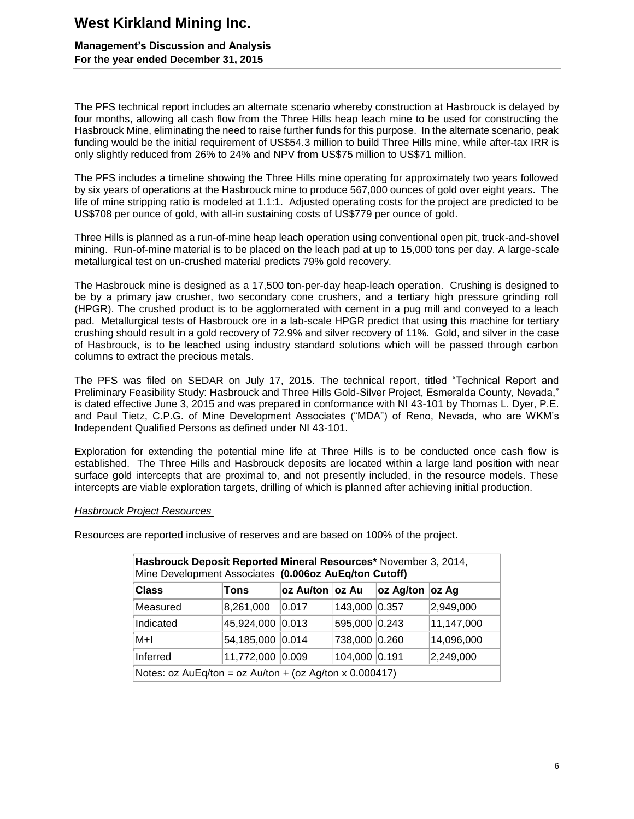### **Management's Discussion and Analysis For the year ended December 31, 2015**

The PFS technical report includes an alternate scenario whereby construction at Hasbrouck is delayed by four months, allowing all cash flow from the Three Hills heap leach mine to be used for constructing the Hasbrouck Mine, eliminating the need to raise further funds for this purpose. In the alternate scenario, peak funding would be the initial requirement of US\$54.3 million to build Three Hills mine, while after-tax IRR is only slightly reduced from 26% to 24% and NPV from US\$75 million to US\$71 million.

The PFS includes a timeline showing the Three Hills mine operating for approximately two years followed by six years of operations at the Hasbrouck mine to produce 567,000 ounces of gold over eight years. The life of mine stripping ratio is modeled at 1.1:1. Adjusted operating costs for the project are predicted to be US\$708 per ounce of gold, with all-in sustaining costs of US\$779 per ounce of gold.

Three Hills is planned as a run-of-mine heap leach operation using conventional open pit, truck-and-shovel mining. Run-of-mine material is to be placed on the leach pad at up to 15,000 tons per day. A large-scale metallurgical test on un-crushed material predicts 79% gold recovery.

The Hasbrouck mine is designed as a 17,500 ton-per-day heap-leach operation. Crushing is designed to be by a primary jaw crusher, two secondary cone crushers, and a tertiary high pressure grinding roll (HPGR). The crushed product is to be agglomerated with cement in a pug mill and conveyed to a leach pad. Metallurgical tests of Hasbrouck ore in a lab-scale HPGR predict that using this machine for tertiary crushing should result in a gold recovery of 72.9% and silver recovery of 11%. Gold, and silver in the case of Hasbrouck, is to be leached using industry standard solutions which will be passed through carbon columns to extract the precious metals.

The PFS was filed on SEDAR on July 17, 2015. The technical report, titled "Technical Report and Preliminary Feasibility Study: Hasbrouck and Three Hills Gold-Silver Project, Esmeralda County, Nevada," is dated effective June 3, 2015 and was prepared in conformance with NI 43-101 by Thomas L. Dyer, P.E. and Paul Tietz, C.P.G. of Mine Development Associates ("MDA") of Reno, Nevada, who are WKM's Independent Qualified Persons as defined under NI 43-101.

Exploration for extending the potential mine life at Three Hills is to be conducted once cash flow is established. The Three Hills and Hasbrouck deposits are located within a large land position with near surface gold intercepts that are proximal to, and not presently included, in the resource models. These intercepts are viable exploration targets, drilling of which is planned after achieving initial production.

### *Hasbrouck Project Resources*

Resources are reported inclusive of reserves and are based on 100% of the project.

| Hasbrouck Deposit Reported Mineral Resources* November 3, 2014,<br>Mine Development Associates (0.006oz AuEq/ton Cutoff) |                  |                 |               |                 |            |  |
|--------------------------------------------------------------------------------------------------------------------------|------------------|-----------------|---------------|-----------------|------------|--|
| <b>Class</b>                                                                                                             | Tons             | oz Au/ton oz Au |               | oz Ag/ton oz Ag |            |  |
| Measured                                                                                                                 | 8,261,000        | 0.017           | 143,000 0.357 |                 | 2,949,000  |  |
| Indicated                                                                                                                | 45,924,000 0.013 |                 | 595,000 0.243 |                 | 11,147,000 |  |
| M+I                                                                                                                      | 54,185,000 0.014 |                 | 738,000 0.260 |                 | 14,096,000 |  |
| Inferred                                                                                                                 | 11,772,000 0.009 |                 | 104,000       | 0.191           | 2,249,000  |  |
| Notes: $oz AuEq/ton = oz Au/ton + (oz Ag/ton x 0.000417)$                                                                |                  |                 |               |                 |            |  |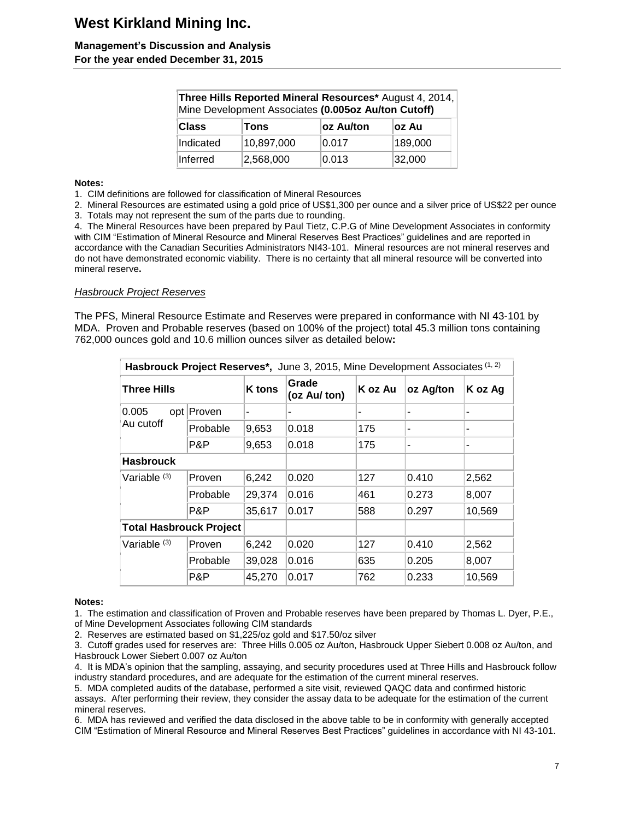### **Management's Discussion and Analysis For the year ended December 31, 2015**

| Three Hills Reported Mineral Resources* August 4, 2014,<br>Mine Development Associates (0.005oz Au/ton Cutoff) |            |           |         |  |  |  |
|----------------------------------------------------------------------------------------------------------------|------------|-----------|---------|--|--|--|
| Class                                                                                                          | Tons       | oz Au/ton | ∣oz Au  |  |  |  |
| Indicated                                                                                                      | 10,897,000 | 0.017     | 189,000 |  |  |  |
| Inferred                                                                                                       | 2,568,000  | 0.013     | 32,000  |  |  |  |

#### **Notes:**

1. CIM definitions are followed for classification of Mineral Resources

2. Mineral Resources are estimated using a gold price of US\$1,300 per ounce and a silver price of US\$22 per ounce 3. Totals may not represent the sum of the parts due to rounding.

4. The Mineral Resources have been prepared by Paul Tietz, C.P.G of Mine Development Associates in conformity with CIM "Estimation of Mineral Resource and Mineral Reserves Best Practices" guidelines and are reported in accordance with the Canadian Securities Administrators NI43-101. Mineral resources are not mineral reserves and do not have demonstrated economic viability. There is no certainty that all mineral resource will be converted into mineral reserve**.**

### *Hasbrouck Project Reserves*

The PFS, Mineral Resource Estimate and Reserves were prepared in conformance with NI 43-101 by MDA. Proven and Probable reserves (based on 100% of the project) total 45.3 million tons containing 762,000 ounces gold and 10.6 million ounces silver as detailed below**:**

| Hasbrouck Project Reserves*, June 3, 2015, Mine Development Associates (1, 2) |            |               |                                  |     |           |         |  |
|-------------------------------------------------------------------------------|------------|---------------|----------------------------------|-----|-----------|---------|--|
| Three Hills                                                                   |            | <b>K</b> tons | Grade<br>K oz Au<br>(oz Au/ ton) |     | oz Ag/ton | K oz Ag |  |
| 0.005<br>Au cutoff                                                            | opt Proven | ۰             |                                  |     |           |         |  |
|                                                                               | Probable   | 9,653         | 0.018                            | 175 |           |         |  |
|                                                                               | P&P        | 9,653         | 0.018                            | 175 | ۰         | -       |  |
| <b>Hasbrouck</b>                                                              |            |               |                                  |     |           |         |  |
| Variable (3)                                                                  | Proven     | 6,242         | 0.020                            | 127 | 0.410     | 2,562   |  |
|                                                                               | Probable   | 29,374        | 0.016                            | 461 | 0.273     | 8,007   |  |
|                                                                               | P&P        | 35,617        | 0.017                            | 588 | 0.297     | 10,569  |  |
| <b>Total Hasbrouck Project</b>                                                |            |               |                                  |     |           |         |  |
| Variable (3)                                                                  | Proven     | 6,242         | 0.020                            | 127 | 0.410     | 2,562   |  |
|                                                                               | Probable   | 39,028        | 0.016                            | 635 | 0.205     | 8,007   |  |
|                                                                               | P&P        | 45,270        | 0.017                            | 762 | 0.233     | 10,569  |  |

#### **Notes:**

1. The estimation and classification of Proven and Probable reserves have been prepared by Thomas L. Dyer, P.E., of Mine Development Associates following CIM standards

2. Reserves are estimated based on \$1,225/oz gold and \$17.50/oz silver

3. Cutoff grades used for reserves are: Three Hills 0.005 oz Au/ton, Hasbrouck Upper Siebert 0.008 oz Au/ton, and Hasbrouck Lower Siebert 0.007 oz Au/ton

4. It is MDA's opinion that the sampling, assaying, and security procedures used at Three Hills and Hasbrouck follow industry standard procedures, and are adequate for the estimation of the current mineral reserves.

5. MDA completed audits of the database, performed a site visit, reviewed QAQC data and confirmed historic assays. After performing their review, they consider the assay data to be adequate for the estimation of the current mineral reserves.

6. MDA has reviewed and verified the data disclosed in the above table to be in conformity with generally accepted CIM "Estimation of Mineral Resource and Mineral Reserves Best Practices" guidelines in accordance with NI 43-101.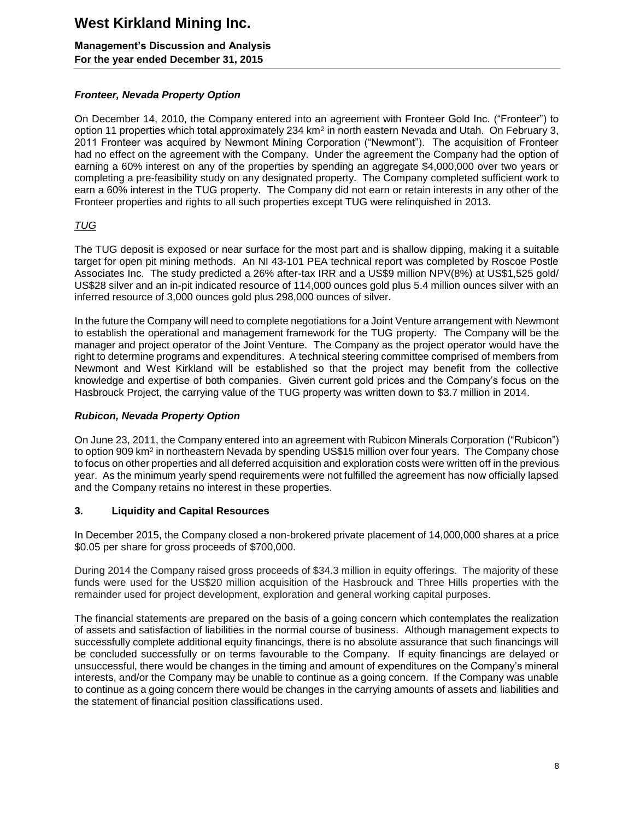### **Management's Discussion and Analysis For the year ended December 31, 2015**

### *Fronteer, Nevada Property Option*

On December 14, 2010, the Company entered into an agreement with Fronteer Gold Inc. ("Fronteer") to option 11 properties which total approximately 234 km<sup>2</sup> in north eastern Nevada and Utah. On February 3, 2011 Fronteer was acquired by Newmont Mining Corporation ("Newmont"). The acquisition of Fronteer had no effect on the agreement with the Company. Under the agreement the Company had the option of earning a 60% interest on any of the properties by spending an aggregate \$4,000,000 over two years or completing a pre-feasibility study on any designated property. The Company completed sufficient work to earn a 60% interest in the TUG property. The Company did not earn or retain interests in any other of the Fronteer properties and rights to all such properties except TUG were relinquished in 2013.

### *TUG*

The TUG deposit is exposed or near surface for the most part and is shallow dipping, making it a suitable target for open pit mining methods. An NI 43-101 PEA technical report was completed by Roscoe Postle Associates Inc. The study predicted a 26% after-tax IRR and a US\$9 million NPV(8%) at US\$1,525 gold/ US\$28 silver and an in-pit indicated resource of 114,000 ounces gold plus 5.4 million ounces silver with an inferred resource of 3,000 ounces gold plus 298,000 ounces of silver.

In the future the Company will need to complete negotiations for a Joint Venture arrangement with Newmont to establish the operational and management framework for the TUG property. The Company will be the manager and project operator of the Joint Venture. The Company as the project operator would have the right to determine programs and expenditures. A technical steering committee comprised of members from Newmont and West Kirkland will be established so that the project may benefit from the collective knowledge and expertise of both companies. Given current gold prices and the Company's focus on the Hasbrouck Project, the carrying value of the TUG property was written down to \$3.7 million in 2014.

### *Rubicon, Nevada Property Option*

On June 23, 2011, the Company entered into an agreement with Rubicon Minerals Corporation ("Rubicon") to option 909 km<sup>2</sup> in northeastern Nevada by spending US\$15 million over four years. The Company chose to focus on other properties and all deferred acquisition and exploration costs were written off in the previous year. As the minimum yearly spend requirements were not fulfilled the agreement has now officially lapsed and the Company retains no interest in these properties.

### **3. Liquidity and Capital Resources**

In December 2015, the Company closed a non-brokered private placement of 14,000,000 shares at a price \$0.05 per share for gross proceeds of \$700,000.

During 2014 the Company raised gross proceeds of \$34.3 million in equity offerings. The majority of these funds were used for the US\$20 million acquisition of the Hasbrouck and Three Hills properties with the remainder used for project development, exploration and general working capital purposes.

The financial statements are prepared on the basis of a going concern which contemplates the realization of assets and satisfaction of liabilities in the normal course of business. Although management expects to successfully complete additional equity financings, there is no absolute assurance that such financings will be concluded successfully or on terms favourable to the Company. If equity financings are delayed or unsuccessful, there would be changes in the timing and amount of expenditures on the Company's mineral interests, and/or the Company may be unable to continue as a going concern. If the Company was unable to continue as a going concern there would be changes in the carrying amounts of assets and liabilities and the statement of financial position classifications used.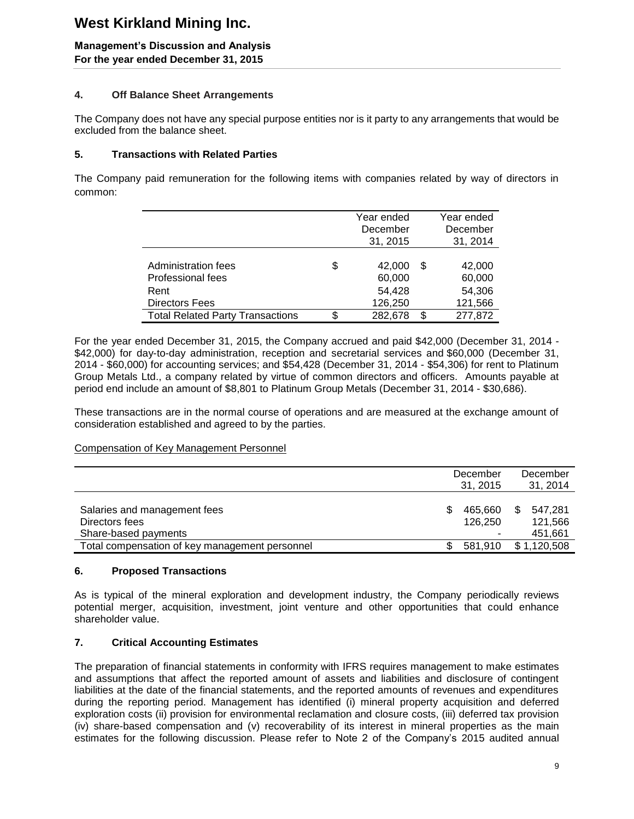### **Management's Discussion and Analysis For the year ended December 31, 2015**

### **4. Off Balance Sheet Arrangements**

The Company does not have any special purpose entities nor is it party to any arrangements that would be excluded from the balance sheet.

### **5. Transactions with Related Parties**

The Company paid remuneration for the following items with companies related by way of directors in common:

|                                         | Year ended    |   | Year ended |
|-----------------------------------------|---------------|---|------------|
|                                         | December      |   | December   |
|                                         | 31, 2015      |   | 31, 2014   |
|                                         |               |   |            |
| Administration fees                     | \$<br>42,000  | S | 42,000     |
| Professional fees                       | 60,000        |   | 60,000     |
| Rent                                    | 54,428        |   | 54,306     |
| <b>Directors Fees</b>                   | 126,250       |   | 121,566    |
| <b>Total Related Party Transactions</b> | \$<br>282,678 | S | 277,872    |

For the year ended December 31, 2015, the Company accrued and paid \$42,000 (December 31, 2014 - \$42,000) for day-to-day administration, reception and secretarial services and \$60,000 (December 31, 2014 - \$60,000) for accounting services; and \$54,428 (December 31, 2014 - \$54,306) for rent to Platinum Group Metals Ltd., a company related by virtue of common directors and officers. Amounts payable at period end include an amount of \$8,801 to Platinum Group Metals (December 31, 2014 - \$30,686).

These transactions are in the normal course of operations and are measured at the exchange amount of consideration established and agreed to by the parties.

### Compensation of Key Management Personnel

|                                                                        |   | December<br>31, 2015 |     | December<br>31, 2014          |
|------------------------------------------------------------------------|---|----------------------|-----|-------------------------------|
| Salaries and management fees<br>Directors fees<br>Share-based payments | S | 465.660<br>126.250   | \$. | 547.281<br>121,566<br>451,661 |
| Total compensation of key management personnel                         |   | 581.910              |     | \$1,120,508                   |

### **6. Proposed Transactions**

As is typical of the mineral exploration and development industry, the Company periodically reviews potential merger, acquisition, investment, joint venture and other opportunities that could enhance shareholder value.

### **7. Critical Accounting Estimates**

The preparation of financial statements in conformity with IFRS requires management to make estimates and assumptions that affect the reported amount of assets and liabilities and disclosure of contingent liabilities at the date of the financial statements, and the reported amounts of revenues and expenditures during the reporting period. Management has identified (i) mineral property acquisition and deferred exploration costs (ii) provision for environmental reclamation and closure costs, (iii) deferred tax provision (iv) share-based compensation and (v) recoverability of its interest in mineral properties as the main estimates for the following discussion. Please refer to Note 2 of the Company's 2015 audited annual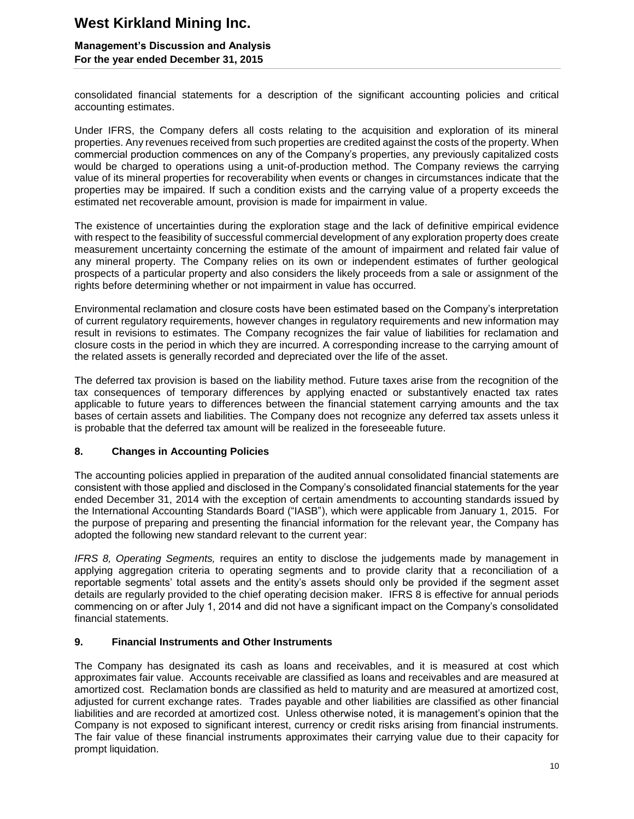### **Management's Discussion and Analysis For the year ended December 31, 2015**

consolidated financial statements for a description of the significant accounting policies and critical accounting estimates.

Under IFRS, the Company defers all costs relating to the acquisition and exploration of its mineral properties. Any revenues received from such properties are credited against the costs of the property. When commercial production commences on any of the Company's properties, any previously capitalized costs would be charged to operations using a unit-of-production method. The Company reviews the carrying value of its mineral properties for recoverability when events or changes in circumstances indicate that the properties may be impaired. If such a condition exists and the carrying value of a property exceeds the estimated net recoverable amount, provision is made for impairment in value.

The existence of uncertainties during the exploration stage and the lack of definitive empirical evidence with respect to the feasibility of successful commercial development of any exploration property does create measurement uncertainty concerning the estimate of the amount of impairment and related fair value of any mineral property. The Company relies on its own or independent estimates of further geological prospects of a particular property and also considers the likely proceeds from a sale or assignment of the rights before determining whether or not impairment in value has occurred.

Environmental reclamation and closure costs have been estimated based on the Company's interpretation of current regulatory requirements, however changes in regulatory requirements and new information may result in revisions to estimates. The Company recognizes the fair value of liabilities for reclamation and closure costs in the period in which they are incurred. A corresponding increase to the carrying amount of the related assets is generally recorded and depreciated over the life of the asset.

The deferred tax provision is based on the liability method. Future taxes arise from the recognition of the tax consequences of temporary differences by applying enacted or substantively enacted tax rates applicable to future years to differences between the financial statement carrying amounts and the tax bases of certain assets and liabilities. The Company does not recognize any deferred tax assets unless it is probable that the deferred tax amount will be realized in the foreseeable future.

### **8. Changes in Accounting Policies**

The accounting policies applied in preparation of the audited annual consolidated financial statements are consistent with those applied and disclosed in the Company's consolidated financial statements for the year ended December 31, 2014 with the exception of certain amendments to accounting standards issued by the International Accounting Standards Board ("IASB"), which were applicable from January 1, 2015. For the purpose of preparing and presenting the financial information for the relevant year, the Company has adopted the following new standard relevant to the current year:

*IFRS 8, Operating Segments,* requires an entity to disclose the judgements made by management in applying aggregation criteria to operating segments and to provide clarity that a reconciliation of a reportable segments' total assets and the entity's assets should only be provided if the segment asset details are regularly provided to the chief operating decision maker. IFRS 8 is effective for annual periods commencing on or after July 1, 2014 and did not have a significant impact on the Company's consolidated financial statements.

### **9. Financial Instruments and Other Instruments**

The Company has designated its cash as loans and receivables, and it is measured at cost which approximates fair value. Accounts receivable are classified as loans and receivables and are measured at amortized cost. Reclamation bonds are classified as held to maturity and are measured at amortized cost, adjusted for current exchange rates. Trades payable and other liabilities are classified as other financial liabilities and are recorded at amortized cost. Unless otherwise noted, it is management's opinion that the Company is not exposed to significant interest, currency or credit risks arising from financial instruments. The fair value of these financial instruments approximates their carrying value due to their capacity for prompt liquidation.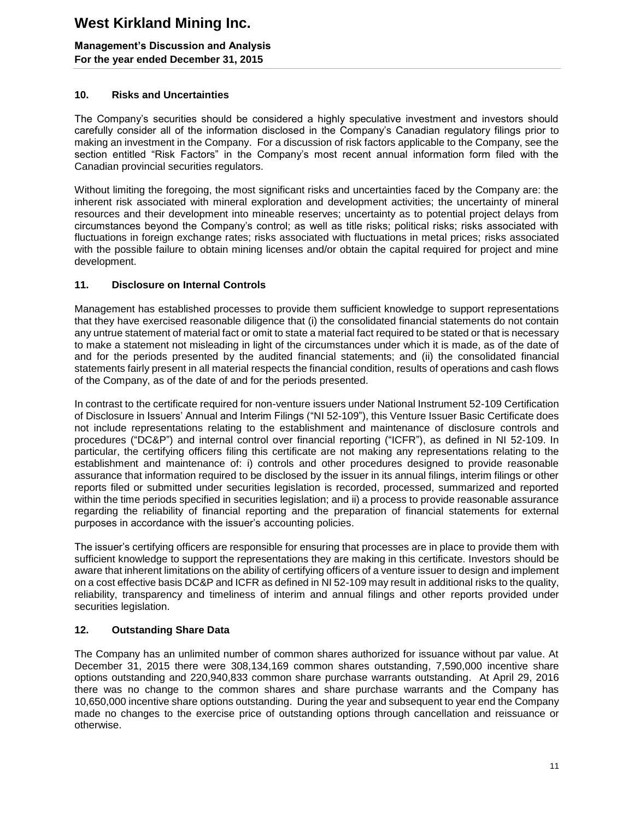### **Management's Discussion and Analysis For the year ended December 31, 2015**

### **10. Risks and Uncertainties**

The Company's securities should be considered a highly speculative investment and investors should carefully consider all of the information disclosed in the Company's Canadian regulatory filings prior to making an investment in the Company. For a discussion of risk factors applicable to the Company, see the section entitled "Risk Factors" in the Company's most recent annual information form filed with the Canadian provincial securities regulators.

Without limiting the foregoing, the most significant risks and uncertainties faced by the Company are: the inherent risk associated with mineral exploration and development activities; the uncertainty of mineral resources and their development into mineable reserves; uncertainty as to potential project delays from circumstances beyond the Company's control; as well as title risks; political risks; risks associated with fluctuations in foreign exchange rates; risks associated with fluctuations in metal prices; risks associated with the possible failure to obtain mining licenses and/or obtain the capital required for project and mine development.

### **11. Disclosure on Internal Controls**

Management has established processes to provide them sufficient knowledge to support representations that they have exercised reasonable diligence that (i) the consolidated financial statements do not contain any untrue statement of material fact or omit to state a material fact required to be stated or that is necessary to make a statement not misleading in light of the circumstances under which it is made, as of the date of and for the periods presented by the audited financial statements; and (ii) the consolidated financial statements fairly present in all material respects the financial condition, results of operations and cash flows of the Company, as of the date of and for the periods presented.

In contrast to the certificate required for non-venture issuers under National Instrument 52-109 Certification of Disclosure in Issuers' Annual and Interim Filings ("NI 52-109"), this Venture Issuer Basic Certificate does not include representations relating to the establishment and maintenance of disclosure controls and procedures ("DC&P") and internal control over financial reporting ("ICFR"), as defined in NI 52-109. In particular, the certifying officers filing this certificate are not making any representations relating to the establishment and maintenance of: i) controls and other procedures designed to provide reasonable assurance that information required to be disclosed by the issuer in its annual filings, interim filings or other reports filed or submitted under securities legislation is recorded, processed, summarized and reported within the time periods specified in securities legislation; and ii) a process to provide reasonable assurance regarding the reliability of financial reporting and the preparation of financial statements for external purposes in accordance with the issuer's accounting policies.

The issuer's certifying officers are responsible for ensuring that processes are in place to provide them with sufficient knowledge to support the representations they are making in this certificate. Investors should be aware that inherent limitations on the ability of certifying officers of a venture issuer to design and implement on a cost effective basis DC&P and ICFR as defined in NI 52-109 may result in additional risks to the quality, reliability, transparency and timeliness of interim and annual filings and other reports provided under securities legislation.

### **12. Outstanding Share Data**

The Company has an unlimited number of common shares authorized for issuance without par value. At December 31, 2015 there were 308,134,169 common shares outstanding, 7,590,000 incentive share options outstanding and 220,940,833 common share purchase warrants outstanding. At April 29, 2016 there was no change to the common shares and share purchase warrants and the Company has 10,650,000 incentive share options outstanding. During the year and subsequent to year end the Company made no changes to the exercise price of outstanding options through cancellation and reissuance or otherwise.